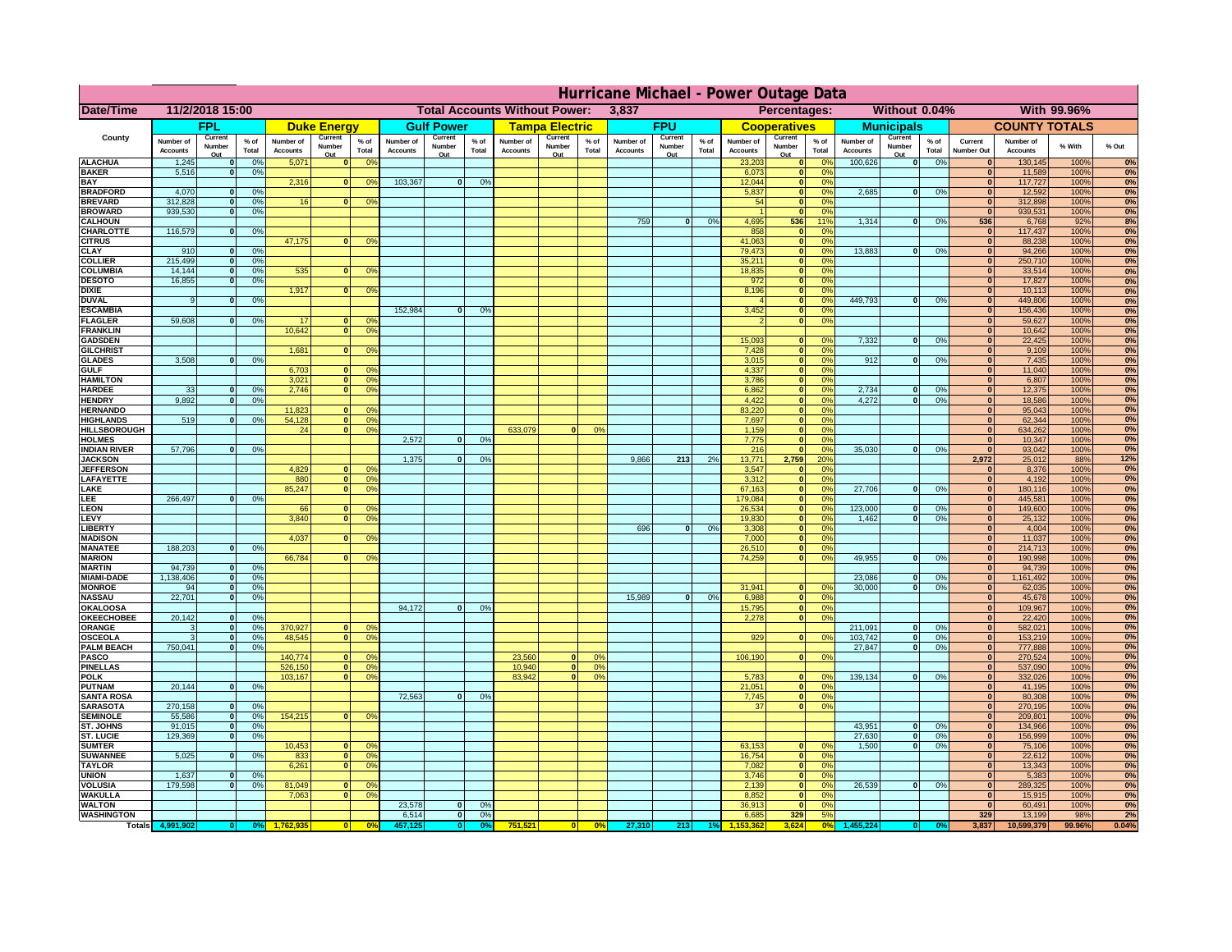| <b>Total Accounts Without Power:</b><br>Without 0.04%<br>With 99.96%<br>Date/Time<br>11/2/2018 15:00<br>3,837<br>Percentages:<br><b>FPU</b><br>FPL<br><b>Gulf Power</b><br><b>Tampa Electric</b><br><b>Municipals</b><br><b>COUNTY TOTALS</b><br><b>Duke Energy</b><br><b>Cooperatives</b><br>County<br>Current<br>Current<br>Current<br>Current<br>Current<br>Current<br>Current<br>$%$ of<br>$%$ of<br>$%$ of<br>Number of<br>$%$ of<br>Number of<br>Number of<br>$%$ of<br>Number of<br>Number of<br>$%$ of<br>Number of<br>Number of<br>$%$ of<br>Current<br>Number of<br>% With<br>% Out<br>Number<br>Number<br>Number<br>Number<br>Number<br>Number<br>Number<br>Total<br>Total<br>Total<br>Total<br>Total<br>Total<br><b>Accounts</b><br>Total<br><b>Accounts</b><br><b>Accounts</b><br>Accounts<br><b>Accounts</b><br><b>Accounts</b><br><b>Number Out</b><br><b>Accounts</b><br><b>Accounts</b><br>Out<br>Out<br>Out<br>Out<br>Out<br>Out<br>Out<br><b>ALACHUA</b><br>1,245<br>0%<br>5,071<br>0 <sup>9</sup><br>23,203<br>100,626<br> 0 <br>0%<br>130,145<br>100%<br>0%<br>$\mathbf{0}$<br>$\mathbf{0}$<br>$\mathbf{0}$<br>$\Omega$ <sup>c</sup><br>$\bf{0}$<br><b>BAKER</b><br>5,516<br>0%<br>6,073<br>0 <sup>9</sup><br>11,589<br>100%<br>$\mathbf{0}$<br>$\mathbf{0}$<br>$\mathbf{0}$<br>103,367<br><b>BAY</b><br>2,316<br>$\overline{0}$<br>0%<br>12,044<br>0%<br>117,727<br>100%<br>$\mathbf{0}$<br>0 <sup>9</sup><br>$\mathbf{0}$<br>$\bf{0}$<br>0%<br><b>BRADFORD</b><br>4,070<br>0%<br>5,837<br>ō<br>0%<br>2,685<br> 0 <br>12,592<br>100%<br>$\mathbf{0}$<br>0%<br>$\bf{0}$<br>0%<br><b>BREVARD</b><br>312,828<br>0%<br>16<br>54<br>$\mathbf{0}$<br>0%<br>312,898<br>100%<br>$\Omega$<br>$\Omega$<br>0 <sup>o</sup><br>$\bf{0}$<br>0%<br><b>BROWARD</b><br>939.530<br>0%<br>$\mathbf{0}$<br>0 <sup>9</sup><br>939,531<br>100%<br>$\Omega$<br>$\bf{0}$<br>759<br>4,695<br>536<br>1,314<br>536<br><b>CALHOUN</b><br> 0 <br>0%<br>11%<br> 0 <br>0%<br>6,768<br>92%<br>8%<br>116,579<br>858<br>CHARLOTTE<br>0%<br>$\mathbf{0}$<br>0%<br>117,437<br>100%<br>0%<br>$\mathbf 0$<br>$\mathbf 0$<br>47,175<br>41,063<br>88,238<br>100%<br><b>CITRUS</b><br>0 <sup>o</sup><br>$\mathbf{0}$<br>$\Omega$ <sup>c</sup><br>$\mathbf{0}$<br>$\mathbf{0}$<br>79,473<br><b>CLAY</b><br>13,883<br>94,266<br>100%<br>910<br>0%<br>$\mathbf{0}$<br>0 <sup>9</sup><br>$\Omega$<br>0%<br>$\mathbf{0}$<br>$\mathbf{0}$<br>215,499<br>250,710<br><b>COLLIER</b><br>35,211<br>0 <sup>9</sup><br>100%<br>0%<br>$\mathbf{0}$<br>0 <sup>9</sup><br>$\mathbf{0}$<br>$\mathbf{0}$<br>535<br><b>COLUMBIA</b><br>14,144<br>18,835<br>0 <sup>9</sup><br>33,514<br>100%<br>0%<br>$\mathbf{0}$<br>0%<br>0 <sup>9</sup><br>$\mathbf{0}$<br>$\bf{0}$<br>$\bf{0}$<br>16,855<br>972<br>17,827<br><b>DESOTO</b><br>0 <sup>9</sup><br>100%<br>$\mathbf{0}$<br>0%<br>$\mathbf{0}$<br>$\bf{0}$<br>1,917<br><b>DIXIE</b><br>8,196<br>10,113<br>100%<br>0 <sup>9</sup><br>$\mathbf{0}$<br>0 <sup>9</sup><br>$\Omega$<br>$\bf{0}$<br>449.793<br>449,806<br><b>DUVAL</b><br>0%<br>100%<br>0%<br>$\mathbf{0}$<br>0 <sup>9</sup><br>$\mathbf{0}$<br>0%<br>9<br>$\Omega$<br>$\bf{0}$<br>152,984<br>3,452<br>156,436<br><b>ESCAMBIA</b><br>0%<br>100%<br>0%<br> 0 <br>0%<br>$\mathbf{0}$<br>$\bullet$<br><b>FLAGLER</b><br>59,608<br>0%<br>59,627<br>100%<br>0%<br>17<br>$\mathbf{0}$<br>$\mathbf{0}$<br>$\Omega$<br>0°<br><b>FRANKLIN</b><br>10,642<br>0 <sup>9</sup><br>10,642<br>100%<br> 0 <br>$\bf{0}$<br>15,093<br>7,332<br>22,425<br><b>GADSDEN</b><br>0%<br>$\overline{0}$<br>100%<br>0%<br>0 <sup>9</sup><br> 0 <br>$\mathbf{0}$<br>1,681<br>7,428<br>0%<br>9,109<br>100%<br><b>GILCHRIST</b><br>0 <sup>9</sup><br>$\overline{\mathbf{0}}$<br>$\overline{0}$<br>0%<br>$\Omega$<br>3,508<br>0%<br>3,015<br> 0 <br>0%<br>912<br>$\overline{0}$<br>0%<br>7,435<br>100%<br><b>GLADES</b><br>$\mathbf{0}$<br>$\mathbf{0}$<br>6,703<br>4,337<br>$\overline{0}$<br>0%<br> 0 <br>11,040<br>100%<br><b>GULF</b><br>n l<br>0 <sup>9</sup><br><b>HAMILTON</b><br>3,021<br>$\overline{0}$<br>0 <sup>9</sup><br>3,786<br>$\overline{0}$<br>0%<br>$\overline{0}$<br>6,807<br>100%<br>0%<br>33<br>0%<br>2.746<br>6,862<br> 0 <br>2,734<br>12,375<br>100%<br><b>HARDEE</b><br>n l<br>0 <sup>9</sup><br>0%<br>$\mathbf{0}$<br>0%<br>$\mathbf{0}$<br>0%<br>$\mathbf{0}$<br>9,892<br>4,272<br><b>HENDRY</b><br>$\Omega$<br>0%<br>4,422<br>$\Omega$<br>0%<br>$\mathbf{0}$<br>0%<br> 0 <br>18,586<br>100%<br><b>HERNANDO</b><br>11,823<br>0 <sup>9</sup><br>83,220<br>$\mathbf{0}$<br>0%<br> 0 <br>95,043<br>100%<br>519<br>54,128<br><b>HIGHLANDS</b><br>0%<br>$\mathbf{0}$<br>0 <sup>9</sup><br>7,697<br>$\mathbf{0}$<br>0%<br>$\mathbf{0}$<br>62,344<br>100%<br>0%<br>$\mathbf{0}$<br>633,079<br><b>HILLSBOROUGH</b><br>24<br> 0 <br>0 <sup>9</sup><br>0%<br>1,159<br>$\mathbf{0}$<br>0%<br>$\mathbf{0}$<br>634,262<br>100%<br>0%<br>$\Omega$<br>2,572<br>7,775<br><b>HOLMES</b><br>$\Omega$<br>0%<br>$\mathbf{0}$<br>0 <sup>9</sup><br>$\mathbf{0}$<br>10,347<br>100%<br>57,796<br>35,030<br>0%<br>93,042<br><b>INDIAN RIVER</b><br>nl<br>0%<br>216<br>$\mathbf{0}$<br>0%<br>$\mathbf{0}$<br>$\mathbf{0}$<br>100%<br>1.375<br>9.866<br>213<br>13,771<br>2.759<br>2.972<br>25,012<br><b>JACKSON</b><br>$\Omega$<br>0%<br>2%<br>20%<br>88%<br>12%<br>4.829<br><b>JEFFERSON</b><br>$\Omega$<br>0 <sup>9</sup><br>3,547<br>0%<br>$\mathbf{0}$<br>8,376<br>100%<br>0%<br>$\Omega$<br>$\overline{0}$<br>0%<br>3.312<br>4.192<br>LAFAYETTE<br>880<br>$\mathbf{0}$<br>0%<br> 0 <br>100%<br>85,247<br>$\mathbf{0}$<br>0 <sup>9</sup><br>67,163<br>27,706<br>180,116<br>LAKE<br>$\Omega$<br>0%<br>n l<br>0%<br> 0 <br>100%<br>266,497<br>0%<br>179,084<br>445,581<br>0%<br>EE.<br>0%<br> 0 <br>100%<br>123,000<br>LEON<br>26,534<br>0%<br>149,600<br>100%<br>0%<br>66<br>$\mathbf{0}$<br>0 <sup>o</sup><br>0%<br>$\bf{0}$<br> 0 <br>LEVY<br>3,840<br>0 <sup>9</sup><br>19,830<br>0%<br>1,462<br>0%<br> 0 <br>25,132<br>100%<br>$\Omega$<br>$\Omega$<br><b>LIBERT</b><br>696<br> 0 <br>0%<br>3,308<br>0%<br>4,004<br>100%<br> 0 <br>0%<br><b>MADISON</b><br>4,037<br>7,000<br>0%<br>11,037<br>100%<br>0 <sup>9</sup><br> 0 <br>188,203<br>0%<br><b>MANATEE</b><br>0<br>0%<br>26,510<br>0%<br>214,713<br>100%<br> 0 <br>66,784<br>49,955<br><b>MARION</b><br>0 <sup>9</sup><br>74,259<br>0%<br>$\Omega$<br>0%<br> 0 <br>190,998<br>100%<br>$\Omega$<br>94,739<br><b>MARTIN</b><br> 0 <br>0%<br> 0 <br>94,739<br>100%<br>0%<br>1,138,406<br>23,086<br><b>MIAMI-DADE</b><br> 0 <br>0%<br> 0 <br>0%<br> 0 <br>1,161,492<br>100%<br>0%<br><b>MONROE</b><br>31,941<br>94<br> 0 <br>0%<br>30,000<br>$\Omega$<br>0%<br> 0 <br>62,035<br>100%<br>0 <sup>9</sup><br>22,701<br>15,989<br><b>NASSAU</b><br>6,988<br> 0 <br>0%<br> 0 <br>0%<br>$\mathbf{0}$<br>0 <sup>9</sup><br>$\mathbf{0}$<br>45,678<br>100%<br>94,172<br>OKALOOSA<br>0%<br>0%<br>$\mathbf{0}$<br>15,795<br> 0 <br>$\mathbf{0}$<br>109,967<br>100%<br>20,142<br>0%<br>0%<br><b>OKEECHOBEE</b><br>2,278<br>0%<br> 0 <br> 0 <br>$\mathbf{0}$<br>22,420<br>100%<br>211,091<br>370,927<br>0%<br>ORANGE<br>0%<br>$\mathbf{0}$<br>582,021<br>100%<br> 0 <br>$\mathbf{0}$<br>0 <sup>o</sup><br>0%<br>$\mathbf{0}$<br>3<br>48,545<br>929<br>103,742<br>0%<br>0 <sup>9</sup><br>0%<br>153,219<br>100%<br><b>OSCEOLA</b><br> 0 <br>$\Omega$<br>$\Omega$<br>0 <sup>9</sup><br> 0 <br> 0 <br>3<br>750,041<br><b>PALM BEACH</b><br>27,847<br>0%<br>777,888<br>100%<br>0%<br>$\overline{0}$<br>$\mathbf{0}$<br> 0 <br>140,774<br>PASCO<br>23,560<br>106,190<br>270,524<br>100%<br>0 <sup>9</sup><br> 0 <br>0 <sup>9</sup><br>$\mathbf{0}$<br>0%<br>$\mathbf{0}$<br>$\Omega$<br>0 <sup>2</sup><br><b>PINELLAS</b><br>526,150<br>0 <sup>9</sup><br>10,940<br>0%<br>537,090<br>100%<br>0%<br> 0 <br>$\mathbf{0}$<br> 0 <br>103,167<br>83,942<br>139,134<br><b>POLK</b><br>0 <sup>9</sup><br> 0 <br>0%<br>5,783<br> 0 <br>0%<br>332,026<br>100%<br> 0 <br>$\mathbf{0}$<br>$\Omega$<br>no<br>20,144<br>0%<br>21,051<br><b>PUTNAM</b><br> 0 <br>0 <sup>9</sup><br>41,195<br>100%<br>$\mathbf{0}$<br>$\mathbf{0}$<br>72,563<br><b>SANTA ROSA</b><br> 0 <br>0%<br>7,745<br> 0 <br>0%<br>80,308<br>100%<br>0%<br>$\mathbf{0}$<br>270,158<br>$\overline{0}$<br>270,195<br><b>SARASOTA</b><br>0<br>0%<br>37<br>0%<br>$\mathbf{0}$<br>100%<br>0%<br>55,586<br>154,215<br><b>SEMINOLE</b><br> 0 <br>0%<br>$\mathbf{0}$<br>0 <sup>9</sup><br>$\mathbf{0}$<br>209,801<br>100%<br>91,015<br>43,951<br><b>ST. JOHNS</b><br>0<br>0%<br> 0 <br>0%<br>$\mathbf{0}$<br>134,966<br>100%<br>129.369<br>27,630<br>0%<br>156.999<br>0%<br><b>ST. LUCIE</b><br>$\mathbf{0}$<br>0%<br>$\overline{0}$<br> 0 <br>100%<br>10,453<br>63,153<br>1.500<br>0%<br>75,106<br>100%<br>0%<br><b>SUMTER</b><br>$\mathbf{0}$<br>0 <sup>9</sup><br>0 <sup>o</sup><br> 0 <br>$\mathbf{0}$<br>$\mathbf{0}$<br>5,025<br><b>SUWANNEE</b><br>0%<br>833<br> 0 <br>0 <sup>9</sup><br>16,754<br>22,612<br>100%<br>$\Omega$<br>$\mathbf{0}$<br>0 <sup>9</sup><br>$\mathbf{0}$<br><b>TAYLOR</b><br>6,261<br> 0 <br>0 <sup>9</sup><br>7,082<br>$\mathbf{0}$<br>0%<br>13,343<br>100%<br>$\mathbf{0}$<br><b>UNION</b><br>1,637<br>0%<br>3,746<br>5,383<br>100%<br>0%<br>$\mathbf{0}$<br>$\mathbf{0}$<br>0 <sup>9</sup><br>$\mathbf{0}$<br>26,539<br><b>VOLUSIA</b><br>179,598<br>0%<br>81,049<br>2,139<br> 0 <br>0%<br>289,325<br>100%<br>0%<br>$\mathbf{0}$<br>$\bf{0}$<br>0 <sup>9</sup><br>$\mathbf{0}$<br>0 <sup>9</sup><br>$\mathbf{0}$<br><b>WAKULLA</b><br>7,063<br>0 <sup>9</sup><br>8,852<br>0 <sup>9</sup><br>15,915<br>100%<br>$\mathbf{0}$<br>$\mathbf{0}$<br>$\mathbf{0}$<br>23,578<br><b>WALTON</b><br>$\mathbf{0}$<br>0%<br>36,913<br>$\mathbf{0}$<br>60,491<br>100%<br>0 <sup>9</sup><br>$\mathbf{0}$<br><b>WASHINGTON</b><br>6,514<br>6,685<br>329<br>5%<br>329<br> 0 <br>0%<br>13,199<br>98%<br>2%<br>751,521<br>0%<br>27,310<br>3,837<br>0.04%<br><b>Totals</b><br>$\mathbf{0}$<br>213<br>0%<br>10,599,379<br>99.96%<br>0° | Hurricane Michael - Power Outage Data |  |  |  |  |  |  |  |  |  |  |  |  |  |  |  |  |    |
|----------------------------------------------------------------------------------------------------------------------------------------------------------------------------------------------------------------------------------------------------------------------------------------------------------------------------------------------------------------------------------------------------------------------------------------------------------------------------------------------------------------------------------------------------------------------------------------------------------------------------------------------------------------------------------------------------------------------------------------------------------------------------------------------------------------------------------------------------------------------------------------------------------------------------------------------------------------------------------------------------------------------------------------------------------------------------------------------------------------------------------------------------------------------------------------------------------------------------------------------------------------------------------------------------------------------------------------------------------------------------------------------------------------------------------------------------------------------------------------------------------------------------------------------------------------------------------------------------------------------------------------------------------------------------------------------------------------------------------------------------------------------------------------------------------------------------------------------------------------------------------------------------------------------------------------------------------------------------------------------------------------------------------------------------------------------------------------------------------------------------------------------------------------------------------------------------------------------------------------------------------------------------------------------------------------------------------------------------------------------------------------------------------------------------------------------------------------------------------------------------------------------------------------------------------------------------------------------------------------------------------------------------------------------------------------------------------------------------------------------------------------------------------------------------------------------------------------------------------------------------------------------------------------------------------------------------------------------------------------------------------------------------------------------------------------------------------------------------------------------------------------------------------------------------------------------------------------------------------------------------------------------------------------------------------------------------------------------------------------------------------------------------------------------------------------------------------------------------------------------------------------------------------------------------------------------------------------------------------------------------------------------------------------------------------------------------------------------------------------------------------------------------------------------------------------------------------------------------------------------------------------------------------------------------------------------------------------------------------------------------------------------------------------------------------------------------------------------------------------------------------------------------------------------------------------------------------------------------------------------------------------------------------------------------------------------------------------------------------------------------------------------------------------------------------------------------------------------------------------------------------------------------------------------------------------------------------------------------------------------------------------------------------------------------------------------------------------------------------------------------------------------------------------------------------------------------------------------------------------------------------------------------------------------------------------------------------------------------------------------------------------------------------------------------------------------------------------------------------------------------------------------------------------------------------------------------------------------------------------------------------------------------------------------------------------------------------------------------------------------------------------------------------------------------------------------------------------------------------------------------------------------------------------------------------------------------------------------------------------------------------------------------------------------------------------------------------------------------------------------------------------------------------------------------------------------------------------------------------------------------------------------------------------------------------------------------------------------------------------------------------------------------------------------------------------------------------------------------------------------------------------------------------------------------------------------------------------------------------------------------------------------------------------------------------------------------------------------------------------------------------------------------------------------------------------------------------------------------------------------------------------------------------------------------------------------------------------------------------------------------------------------------------------------------------------------------------------------------------------------------------------------------------------------------------------------------------------------------------------------------------------------------------------------------------------------------------------------------------------------------------------------------------------------------------------------------------------------------------------------------------------------------------------------------------------------------------------------------------------------------------------------------------------------------------------------------------------------------------------------------------------------------------------------------------------------------------------------------------------------------------------------------------------------------------------------------------------------------------------------------------------------------------------------------------------------------------------------------------------------------------------------------------------------------------------------------------------------------------------------------------------------------------------------------------------------------------------------------------------------------------------------------------------------------------------------------------------------------------------------------------------------------------------------------------------------------------------------------------------------------------------------------------------------------------------------------------------------------------------------------------------------------------------------------------------------------------------------------------------------------------------------------------------------------------------------------------------------------------------------------------------------------------------------------------------------------------------------------------------------------------------------------------------------------------------------------------------------------------------------------------------------------------------------------------------------------------------------------------------------------------------------------------------------------------------------------------------------------------------------------------------------------------------------------------------------------------------------------------------------------------------------------------------------------------------------------------------------------------------------------------------------------------------------------------------------------------------------------------------------------------------------------------------------------------------------------------------------------------------------------------------------------------------------------------------------------------------------------------------------------------------------------------------------------------------------------------------------------------------------------------------------------------------------------------------------------------------------------|---------------------------------------|--|--|--|--|--|--|--|--|--|--|--|--|--|--|--|--|----|
|                                                                                                                                                                                                                                                                                                                                                                                                                                                                                                                                                                                                                                                                                                                                                                                                                                                                                                                                                                                                                                                                                                                                                                                                                                                                                                                                                                                                                                                                                                                                                                                                                                                                                                                                                                                                                                                                                                                                                                                                                                                                                                                                                                                                                                                                                                                                                                                                                                                                                                                                                                                                                                                                                                                                                                                                                                                                                                                                                                                                                                                                                                                                                                                                                                                                                                                                                                                                                                                                                                                                                                                                                                                                                                                                                                                                                                                                                                                                                                                                                                                                                                                                                                                                                                                                                                                                                                                                                                                                                                                                                                                                                                                                                                                                                                                                                                                                                                                                                                                                                                                                                                                                                                                                                                                                                                                                                                                                                                                                                                                                                                                                                                                                                                                                                                                                                                                                                                                                                                                                                                                                                                                                                                                                                                                                                                                                                                                                                                                                                                                                                                                                                                                                                                                                                                                                                                                                                                                                                                                                                                                                                                                                                                                                                                                                                                                                                                                                                                                                                                                                                                                                                                                                                                                                                                                                                                                                                                                                                                                                                                                                                                                                                                                                                                                                                                                                                                                                                                                                                                                                                                                                                                                                                                                                                                                                                                                                                                                                                                                                                                                                                                                                                                                                                                                                                                                                                                                                                                                                                                                                                                                                                                                                                                                                                                                                                                                                                                                                                                            |                                       |  |  |  |  |  |  |  |  |  |  |  |  |  |  |  |  |    |
|                                                                                                                                                                                                                                                                                                                                                                                                                                                                                                                                                                                                                                                                                                                                                                                                                                                                                                                                                                                                                                                                                                                                                                                                                                                                                                                                                                                                                                                                                                                                                                                                                                                                                                                                                                                                                                                                                                                                                                                                                                                                                                                                                                                                                                                                                                                                                                                                                                                                                                                                                                                                                                                                                                                                                                                                                                                                                                                                                                                                                                                                                                                                                                                                                                                                                                                                                                                                                                                                                                                                                                                                                                                                                                                                                                                                                                                                                                                                                                                                                                                                                                                                                                                                                                                                                                                                                                                                                                                                                                                                                                                                                                                                                                                                                                                                                                                                                                                                                                                                                                                                                                                                                                                                                                                                                                                                                                                                                                                                                                                                                                                                                                                                                                                                                                                                                                                                                                                                                                                                                                                                                                                                                                                                                                                                                                                                                                                                                                                                                                                                                                                                                                                                                                                                                                                                                                                                                                                                                                                                                                                                                                                                                                                                                                                                                                                                                                                                                                                                                                                                                                                                                                                                                                                                                                                                                                                                                                                                                                                                                                                                                                                                                                                                                                                                                                                                                                                                                                                                                                                                                                                                                                                                                                                                                                                                                                                                                                                                                                                                                                                                                                                                                                                                                                                                                                                                                                                                                                                                                                                                                                                                                                                                                                                                                                                                                                                                                                                                                                            |                                       |  |  |  |  |  |  |  |  |  |  |  |  |  |  |  |  |    |
|                                                                                                                                                                                                                                                                                                                                                                                                                                                                                                                                                                                                                                                                                                                                                                                                                                                                                                                                                                                                                                                                                                                                                                                                                                                                                                                                                                                                                                                                                                                                                                                                                                                                                                                                                                                                                                                                                                                                                                                                                                                                                                                                                                                                                                                                                                                                                                                                                                                                                                                                                                                                                                                                                                                                                                                                                                                                                                                                                                                                                                                                                                                                                                                                                                                                                                                                                                                                                                                                                                                                                                                                                                                                                                                                                                                                                                                                                                                                                                                                                                                                                                                                                                                                                                                                                                                                                                                                                                                                                                                                                                                                                                                                                                                                                                                                                                                                                                                                                                                                                                                                                                                                                                                                                                                                                                                                                                                                                                                                                                                                                                                                                                                                                                                                                                                                                                                                                                                                                                                                                                                                                                                                                                                                                                                                                                                                                                                                                                                                                                                                                                                                                                                                                                                                                                                                                                                                                                                                                                                                                                                                                                                                                                                                                                                                                                                                                                                                                                                                                                                                                                                                                                                                                                                                                                                                                                                                                                                                                                                                                                                                                                                                                                                                                                                                                                                                                                                                                                                                                                                                                                                                                                                                                                                                                                                                                                                                                                                                                                                                                                                                                                                                                                                                                                                                                                                                                                                                                                                                                                                                                                                                                                                                                                                                                                                                                                                                                                                                                                            |                                       |  |  |  |  |  |  |  |  |  |  |  |  |  |  |  |  |    |
|                                                                                                                                                                                                                                                                                                                                                                                                                                                                                                                                                                                                                                                                                                                                                                                                                                                                                                                                                                                                                                                                                                                                                                                                                                                                                                                                                                                                                                                                                                                                                                                                                                                                                                                                                                                                                                                                                                                                                                                                                                                                                                                                                                                                                                                                                                                                                                                                                                                                                                                                                                                                                                                                                                                                                                                                                                                                                                                                                                                                                                                                                                                                                                                                                                                                                                                                                                                                                                                                                                                                                                                                                                                                                                                                                                                                                                                                                                                                                                                                                                                                                                                                                                                                                                                                                                                                                                                                                                                                                                                                                                                                                                                                                                                                                                                                                                                                                                                                                                                                                                                                                                                                                                                                                                                                                                                                                                                                                                                                                                                                                                                                                                                                                                                                                                                                                                                                                                                                                                                                                                                                                                                                                                                                                                                                                                                                                                                                                                                                                                                                                                                                                                                                                                                                                                                                                                                                                                                                                                                                                                                                                                                                                                                                                                                                                                                                                                                                                                                                                                                                                                                                                                                                                                                                                                                                                                                                                                                                                                                                                                                                                                                                                                                                                                                                                                                                                                                                                                                                                                                                                                                                                                                                                                                                                                                                                                                                                                                                                                                                                                                                                                                                                                                                                                                                                                                                                                                                                                                                                                                                                                                                                                                                                                                                                                                                                                                                                                                                                                            |                                       |  |  |  |  |  |  |  |  |  |  |  |  |  |  |  |  |    |
|                                                                                                                                                                                                                                                                                                                                                                                                                                                                                                                                                                                                                                                                                                                                                                                                                                                                                                                                                                                                                                                                                                                                                                                                                                                                                                                                                                                                                                                                                                                                                                                                                                                                                                                                                                                                                                                                                                                                                                                                                                                                                                                                                                                                                                                                                                                                                                                                                                                                                                                                                                                                                                                                                                                                                                                                                                                                                                                                                                                                                                                                                                                                                                                                                                                                                                                                                                                                                                                                                                                                                                                                                                                                                                                                                                                                                                                                                                                                                                                                                                                                                                                                                                                                                                                                                                                                                                                                                                                                                                                                                                                                                                                                                                                                                                                                                                                                                                                                                                                                                                                                                                                                                                                                                                                                                                                                                                                                                                                                                                                                                                                                                                                                                                                                                                                                                                                                                                                                                                                                                                                                                                                                                                                                                                                                                                                                                                                                                                                                                                                                                                                                                                                                                                                                                                                                                                                                                                                                                                                                                                                                                                                                                                                                                                                                                                                                                                                                                                                                                                                                                                                                                                                                                                                                                                                                                                                                                                                                                                                                                                                                                                                                                                                                                                                                                                                                                                                                                                                                                                                                                                                                                                                                                                                                                                                                                                                                                                                                                                                                                                                                                                                                                                                                                                                                                                                                                                                                                                                                                                                                                                                                                                                                                                                                                                                                                                                                                                                                                                            |                                       |  |  |  |  |  |  |  |  |  |  |  |  |  |  |  |  | 0% |
|                                                                                                                                                                                                                                                                                                                                                                                                                                                                                                                                                                                                                                                                                                                                                                                                                                                                                                                                                                                                                                                                                                                                                                                                                                                                                                                                                                                                                                                                                                                                                                                                                                                                                                                                                                                                                                                                                                                                                                                                                                                                                                                                                                                                                                                                                                                                                                                                                                                                                                                                                                                                                                                                                                                                                                                                                                                                                                                                                                                                                                                                                                                                                                                                                                                                                                                                                                                                                                                                                                                                                                                                                                                                                                                                                                                                                                                                                                                                                                                                                                                                                                                                                                                                                                                                                                                                                                                                                                                                                                                                                                                                                                                                                                                                                                                                                                                                                                                                                                                                                                                                                                                                                                                                                                                                                                                                                                                                                                                                                                                                                                                                                                                                                                                                                                                                                                                                                                                                                                                                                                                                                                                                                                                                                                                                                                                                                                                                                                                                                                                                                                                                                                                                                                                                                                                                                                                                                                                                                                                                                                                                                                                                                                                                                                                                                                                                                                                                                                                                                                                                                                                                                                                                                                                                                                                                                                                                                                                                                                                                                                                                                                                                                                                                                                                                                                                                                                                                                                                                                                                                                                                                                                                                                                                                                                                                                                                                                                                                                                                                                                                                                                                                                                                                                                                                                                                                                                                                                                                                                                                                                                                                                                                                                                                                                                                                                                                                                                                                                                            |                                       |  |  |  |  |  |  |  |  |  |  |  |  |  |  |  |  |    |
|                                                                                                                                                                                                                                                                                                                                                                                                                                                                                                                                                                                                                                                                                                                                                                                                                                                                                                                                                                                                                                                                                                                                                                                                                                                                                                                                                                                                                                                                                                                                                                                                                                                                                                                                                                                                                                                                                                                                                                                                                                                                                                                                                                                                                                                                                                                                                                                                                                                                                                                                                                                                                                                                                                                                                                                                                                                                                                                                                                                                                                                                                                                                                                                                                                                                                                                                                                                                                                                                                                                                                                                                                                                                                                                                                                                                                                                                                                                                                                                                                                                                                                                                                                                                                                                                                                                                                                                                                                                                                                                                                                                                                                                                                                                                                                                                                                                                                                                                                                                                                                                                                                                                                                                                                                                                                                                                                                                                                                                                                                                                                                                                                                                                                                                                                                                                                                                                                                                                                                                                                                                                                                                                                                                                                                                                                                                                                                                                                                                                                                                                                                                                                                                                                                                                                                                                                                                                                                                                                                                                                                                                                                                                                                                                                                                                                                                                                                                                                                                                                                                                                                                                                                                                                                                                                                                                                                                                                                                                                                                                                                                                                                                                                                                                                                                                                                                                                                                                                                                                                                                                                                                                                                                                                                                                                                                                                                                                                                                                                                                                                                                                                                                                                                                                                                                                                                                                                                                                                                                                                                                                                                                                                                                                                                                                                                                                                                                                                                                                                                            |                                       |  |  |  |  |  |  |  |  |  |  |  |  |  |  |  |  |    |
|                                                                                                                                                                                                                                                                                                                                                                                                                                                                                                                                                                                                                                                                                                                                                                                                                                                                                                                                                                                                                                                                                                                                                                                                                                                                                                                                                                                                                                                                                                                                                                                                                                                                                                                                                                                                                                                                                                                                                                                                                                                                                                                                                                                                                                                                                                                                                                                                                                                                                                                                                                                                                                                                                                                                                                                                                                                                                                                                                                                                                                                                                                                                                                                                                                                                                                                                                                                                                                                                                                                                                                                                                                                                                                                                                                                                                                                                                                                                                                                                                                                                                                                                                                                                                                                                                                                                                                                                                                                                                                                                                                                                                                                                                                                                                                                                                                                                                                                                                                                                                                                                                                                                                                                                                                                                                                                                                                                                                                                                                                                                                                                                                                                                                                                                                                                                                                                                                                                                                                                                                                                                                                                                                                                                                                                                                                                                                                                                                                                                                                                                                                                                                                                                                                                                                                                                                                                                                                                                                                                                                                                                                                                                                                                                                                                                                                                                                                                                                                                                                                                                                                                                                                                                                                                                                                                                                                                                                                                                                                                                                                                                                                                                                                                                                                                                                                                                                                                                                                                                                                                                                                                                                                                                                                                                                                                                                                                                                                                                                                                                                                                                                                                                                                                                                                                                                                                                                                                                                                                                                                                                                                                                                                                                                                                                                                                                                                                                                                                                                                            |                                       |  |  |  |  |  |  |  |  |  |  |  |  |  |  |  |  | 0% |
|                                                                                                                                                                                                                                                                                                                                                                                                                                                                                                                                                                                                                                                                                                                                                                                                                                                                                                                                                                                                                                                                                                                                                                                                                                                                                                                                                                                                                                                                                                                                                                                                                                                                                                                                                                                                                                                                                                                                                                                                                                                                                                                                                                                                                                                                                                                                                                                                                                                                                                                                                                                                                                                                                                                                                                                                                                                                                                                                                                                                                                                                                                                                                                                                                                                                                                                                                                                                                                                                                                                                                                                                                                                                                                                                                                                                                                                                                                                                                                                                                                                                                                                                                                                                                                                                                                                                                                                                                                                                                                                                                                                                                                                                                                                                                                                                                                                                                                                                                                                                                                                                                                                                                                                                                                                                                                                                                                                                                                                                                                                                                                                                                                                                                                                                                                                                                                                                                                                                                                                                                                                                                                                                                                                                                                                                                                                                                                                                                                                                                                                                                                                                                                                                                                                                                                                                                                                                                                                                                                                                                                                                                                                                                                                                                                                                                                                                                                                                                                                                                                                                                                                                                                                                                                                                                                                                                                                                                                                                                                                                                                                                                                                                                                                                                                                                                                                                                                                                                                                                                                                                                                                                                                                                                                                                                                                                                                                                                                                                                                                                                                                                                                                                                                                                                                                                                                                                                                                                                                                                                                                                                                                                                                                                                                                                                                                                                                                                                                                                                                            |                                       |  |  |  |  |  |  |  |  |  |  |  |  |  |  |  |  |    |
|                                                                                                                                                                                                                                                                                                                                                                                                                                                                                                                                                                                                                                                                                                                                                                                                                                                                                                                                                                                                                                                                                                                                                                                                                                                                                                                                                                                                                                                                                                                                                                                                                                                                                                                                                                                                                                                                                                                                                                                                                                                                                                                                                                                                                                                                                                                                                                                                                                                                                                                                                                                                                                                                                                                                                                                                                                                                                                                                                                                                                                                                                                                                                                                                                                                                                                                                                                                                                                                                                                                                                                                                                                                                                                                                                                                                                                                                                                                                                                                                                                                                                                                                                                                                                                                                                                                                                                                                                                                                                                                                                                                                                                                                                                                                                                                                                                                                                                                                                                                                                                                                                                                                                                                                                                                                                                                                                                                                                                                                                                                                                                                                                                                                                                                                                                                                                                                                                                                                                                                                                                                                                                                                                                                                                                                                                                                                                                                                                                                                                                                                                                                                                                                                                                                                                                                                                                                                                                                                                                                                                                                                                                                                                                                                                                                                                                                                                                                                                                                                                                                                                                                                                                                                                                                                                                                                                                                                                                                                                                                                                                                                                                                                                                                                                                                                                                                                                                                                                                                                                                                                                                                                                                                                                                                                                                                                                                                                                                                                                                                                                                                                                                                                                                                                                                                                                                                                                                                                                                                                                                                                                                                                                                                                                                                                                                                                                                                                                                                                                                            |                                       |  |  |  |  |  |  |  |  |  |  |  |  |  |  |  |  | 0% |
|                                                                                                                                                                                                                                                                                                                                                                                                                                                                                                                                                                                                                                                                                                                                                                                                                                                                                                                                                                                                                                                                                                                                                                                                                                                                                                                                                                                                                                                                                                                                                                                                                                                                                                                                                                                                                                                                                                                                                                                                                                                                                                                                                                                                                                                                                                                                                                                                                                                                                                                                                                                                                                                                                                                                                                                                                                                                                                                                                                                                                                                                                                                                                                                                                                                                                                                                                                                                                                                                                                                                                                                                                                                                                                                                                                                                                                                                                                                                                                                                                                                                                                                                                                                                                                                                                                                                                                                                                                                                                                                                                                                                                                                                                                                                                                                                                                                                                                                                                                                                                                                                                                                                                                                                                                                                                                                                                                                                                                                                                                                                                                                                                                                                                                                                                                                                                                                                                                                                                                                                                                                                                                                                                                                                                                                                                                                                                                                                                                                                                                                                                                                                                                                                                                                                                                                                                                                                                                                                                                                                                                                                                                                                                                                                                                                                                                                                                                                                                                                                                                                                                                                                                                                                                                                                                                                                                                                                                                                                                                                                                                                                                                                                                                                                                                                                                                                                                                                                                                                                                                                                                                                                                                                                                                                                                                                                                                                                                                                                                                                                                                                                                                                                                                                                                                                                                                                                                                                                                                                                                                                                                                                                                                                                                                                                                                                                                                                                                                                                                                            |                                       |  |  |  |  |  |  |  |  |  |  |  |  |  |  |  |  | 0% |
|                                                                                                                                                                                                                                                                                                                                                                                                                                                                                                                                                                                                                                                                                                                                                                                                                                                                                                                                                                                                                                                                                                                                                                                                                                                                                                                                                                                                                                                                                                                                                                                                                                                                                                                                                                                                                                                                                                                                                                                                                                                                                                                                                                                                                                                                                                                                                                                                                                                                                                                                                                                                                                                                                                                                                                                                                                                                                                                                                                                                                                                                                                                                                                                                                                                                                                                                                                                                                                                                                                                                                                                                                                                                                                                                                                                                                                                                                                                                                                                                                                                                                                                                                                                                                                                                                                                                                                                                                                                                                                                                                                                                                                                                                                                                                                                                                                                                                                                                                                                                                                                                                                                                                                                                                                                                                                                                                                                                                                                                                                                                                                                                                                                                                                                                                                                                                                                                                                                                                                                                                                                                                                                                                                                                                                                                                                                                                                                                                                                                                                                                                                                                                                                                                                                                                                                                                                                                                                                                                                                                                                                                                                                                                                                                                                                                                                                                                                                                                                                                                                                                                                                                                                                                                                                                                                                                                                                                                                                                                                                                                                                                                                                                                                                                                                                                                                                                                                                                                                                                                                                                                                                                                                                                                                                                                                                                                                                                                                                                                                                                                                                                                                                                                                                                                                                                                                                                                                                                                                                                                                                                                                                                                                                                                                                                                                                                                                                                                                                                                                            |                                       |  |  |  |  |  |  |  |  |  |  |  |  |  |  |  |  |    |
|                                                                                                                                                                                                                                                                                                                                                                                                                                                                                                                                                                                                                                                                                                                                                                                                                                                                                                                                                                                                                                                                                                                                                                                                                                                                                                                                                                                                                                                                                                                                                                                                                                                                                                                                                                                                                                                                                                                                                                                                                                                                                                                                                                                                                                                                                                                                                                                                                                                                                                                                                                                                                                                                                                                                                                                                                                                                                                                                                                                                                                                                                                                                                                                                                                                                                                                                                                                                                                                                                                                                                                                                                                                                                                                                                                                                                                                                                                                                                                                                                                                                                                                                                                                                                                                                                                                                                                                                                                                                                                                                                                                                                                                                                                                                                                                                                                                                                                                                                                                                                                                                                                                                                                                                                                                                                                                                                                                                                                                                                                                                                                                                                                                                                                                                                                                                                                                                                                                                                                                                                                                                                                                                                                                                                                                                                                                                                                                                                                                                                                                                                                                                                                                                                                                                                                                                                                                                                                                                                                                                                                                                                                                                                                                                                                                                                                                                                                                                                                                                                                                                                                                                                                                                                                                                                                                                                                                                                                                                                                                                                                                                                                                                                                                                                                                                                                                                                                                                                                                                                                                                                                                                                                                                                                                                                                                                                                                                                                                                                                                                                                                                                                                                                                                                                                                                                                                                                                                                                                                                                                                                                                                                                                                                                                                                                                                                                                                                                                                                                                            |                                       |  |  |  |  |  |  |  |  |  |  |  |  |  |  |  |  | 0% |
|                                                                                                                                                                                                                                                                                                                                                                                                                                                                                                                                                                                                                                                                                                                                                                                                                                                                                                                                                                                                                                                                                                                                                                                                                                                                                                                                                                                                                                                                                                                                                                                                                                                                                                                                                                                                                                                                                                                                                                                                                                                                                                                                                                                                                                                                                                                                                                                                                                                                                                                                                                                                                                                                                                                                                                                                                                                                                                                                                                                                                                                                                                                                                                                                                                                                                                                                                                                                                                                                                                                                                                                                                                                                                                                                                                                                                                                                                                                                                                                                                                                                                                                                                                                                                                                                                                                                                                                                                                                                                                                                                                                                                                                                                                                                                                                                                                                                                                                                                                                                                                                                                                                                                                                                                                                                                                                                                                                                                                                                                                                                                                                                                                                                                                                                                                                                                                                                                                                                                                                                                                                                                                                                                                                                                                                                                                                                                                                                                                                                                                                                                                                                                                                                                                                                                                                                                                                                                                                                                                                                                                                                                                                                                                                                                                                                                                                                                                                                                                                                                                                                                                                                                                                                                                                                                                                                                                                                                                                                                                                                                                                                                                                                                                                                                                                                                                                                                                                                                                                                                                                                                                                                                                                                                                                                                                                                                                                                                                                                                                                                                                                                                                                                                                                                                                                                                                                                                                                                                                                                                                                                                                                                                                                                                                                                                                                                                                                                                                                                                                            |                                       |  |  |  |  |  |  |  |  |  |  |  |  |  |  |  |  | 0% |
|                                                                                                                                                                                                                                                                                                                                                                                                                                                                                                                                                                                                                                                                                                                                                                                                                                                                                                                                                                                                                                                                                                                                                                                                                                                                                                                                                                                                                                                                                                                                                                                                                                                                                                                                                                                                                                                                                                                                                                                                                                                                                                                                                                                                                                                                                                                                                                                                                                                                                                                                                                                                                                                                                                                                                                                                                                                                                                                                                                                                                                                                                                                                                                                                                                                                                                                                                                                                                                                                                                                                                                                                                                                                                                                                                                                                                                                                                                                                                                                                                                                                                                                                                                                                                                                                                                                                                                                                                                                                                                                                                                                                                                                                                                                                                                                                                                                                                                                                                                                                                                                                                                                                                                                                                                                                                                                                                                                                                                                                                                                                                                                                                                                                                                                                                                                                                                                                                                                                                                                                                                                                                                                                                                                                                                                                                                                                                                                                                                                                                                                                                                                                                                                                                                                                                                                                                                                                                                                                                                                                                                                                                                                                                                                                                                                                                                                                                                                                                                                                                                                                                                                                                                                                                                                                                                                                                                                                                                                                                                                                                                                                                                                                                                                                                                                                                                                                                                                                                                                                                                                                                                                                                                                                                                                                                                                                                                                                                                                                                                                                                                                                                                                                                                                                                                                                                                                                                                                                                                                                                                                                                                                                                                                                                                                                                                                                                                                                                                                                                                            |                                       |  |  |  |  |  |  |  |  |  |  |  |  |  |  |  |  |    |
|                                                                                                                                                                                                                                                                                                                                                                                                                                                                                                                                                                                                                                                                                                                                                                                                                                                                                                                                                                                                                                                                                                                                                                                                                                                                                                                                                                                                                                                                                                                                                                                                                                                                                                                                                                                                                                                                                                                                                                                                                                                                                                                                                                                                                                                                                                                                                                                                                                                                                                                                                                                                                                                                                                                                                                                                                                                                                                                                                                                                                                                                                                                                                                                                                                                                                                                                                                                                                                                                                                                                                                                                                                                                                                                                                                                                                                                                                                                                                                                                                                                                                                                                                                                                                                                                                                                                                                                                                                                                                                                                                                                                                                                                                                                                                                                                                                                                                                                                                                                                                                                                                                                                                                                                                                                                                                                                                                                                                                                                                                                                                                                                                                                                                                                                                                                                                                                                                                                                                                                                                                                                                                                                                                                                                                                                                                                                                                                                                                                                                                                                                                                                                                                                                                                                                                                                                                                                                                                                                                                                                                                                                                                                                                                                                                                                                                                                                                                                                                                                                                                                                                                                                                                                                                                                                                                                                                                                                                                                                                                                                                                                                                                                                                                                                                                                                                                                                                                                                                                                                                                                                                                                                                                                                                                                                                                                                                                                                                                                                                                                                                                                                                                                                                                                                                                                                                                                                                                                                                                                                                                                                                                                                                                                                                                                                                                                                                                                                                                                                                            |                                       |  |  |  |  |  |  |  |  |  |  |  |  |  |  |  |  | 0% |
|                                                                                                                                                                                                                                                                                                                                                                                                                                                                                                                                                                                                                                                                                                                                                                                                                                                                                                                                                                                                                                                                                                                                                                                                                                                                                                                                                                                                                                                                                                                                                                                                                                                                                                                                                                                                                                                                                                                                                                                                                                                                                                                                                                                                                                                                                                                                                                                                                                                                                                                                                                                                                                                                                                                                                                                                                                                                                                                                                                                                                                                                                                                                                                                                                                                                                                                                                                                                                                                                                                                                                                                                                                                                                                                                                                                                                                                                                                                                                                                                                                                                                                                                                                                                                                                                                                                                                                                                                                                                                                                                                                                                                                                                                                                                                                                                                                                                                                                                                                                                                                                                                                                                                                                                                                                                                                                                                                                                                                                                                                                                                                                                                                                                                                                                                                                                                                                                                                                                                                                                                                                                                                                                                                                                                                                                                                                                                                                                                                                                                                                                                                                                                                                                                                                                                                                                                                                                                                                                                                                                                                                                                                                                                                                                                                                                                                                                                                                                                                                                                                                                                                                                                                                                                                                                                                                                                                                                                                                                                                                                                                                                                                                                                                                                                                                                                                                                                                                                                                                                                                                                                                                                                                                                                                                                                                                                                                                                                                                                                                                                                                                                                                                                                                                                                                                                                                                                                                                                                                                                                                                                                                                                                                                                                                                                                                                                                                                                                                                                                                            |                                       |  |  |  |  |  |  |  |  |  |  |  |  |  |  |  |  | 0% |
|                                                                                                                                                                                                                                                                                                                                                                                                                                                                                                                                                                                                                                                                                                                                                                                                                                                                                                                                                                                                                                                                                                                                                                                                                                                                                                                                                                                                                                                                                                                                                                                                                                                                                                                                                                                                                                                                                                                                                                                                                                                                                                                                                                                                                                                                                                                                                                                                                                                                                                                                                                                                                                                                                                                                                                                                                                                                                                                                                                                                                                                                                                                                                                                                                                                                                                                                                                                                                                                                                                                                                                                                                                                                                                                                                                                                                                                                                                                                                                                                                                                                                                                                                                                                                                                                                                                                                                                                                                                                                                                                                                                                                                                                                                                                                                                                                                                                                                                                                                                                                                                                                                                                                                                                                                                                                                                                                                                                                                                                                                                                                                                                                                                                                                                                                                                                                                                                                                                                                                                                                                                                                                                                                                                                                                                                                                                                                                                                                                                                                                                                                                                                                                                                                                                                                                                                                                                                                                                                                                                                                                                                                                                                                                                                                                                                                                                                                                                                                                                                                                                                                                                                                                                                                                                                                                                                                                                                                                                                                                                                                                                                                                                                                                                                                                                                                                                                                                                                                                                                                                                                                                                                                                                                                                                                                                                                                                                                                                                                                                                                                                                                                                                                                                                                                                                                                                                                                                                                                                                                                                                                                                                                                                                                                                                                                                                                                                                                                                                                                                            |                                       |  |  |  |  |  |  |  |  |  |  |  |  |  |  |  |  |    |
|                                                                                                                                                                                                                                                                                                                                                                                                                                                                                                                                                                                                                                                                                                                                                                                                                                                                                                                                                                                                                                                                                                                                                                                                                                                                                                                                                                                                                                                                                                                                                                                                                                                                                                                                                                                                                                                                                                                                                                                                                                                                                                                                                                                                                                                                                                                                                                                                                                                                                                                                                                                                                                                                                                                                                                                                                                                                                                                                                                                                                                                                                                                                                                                                                                                                                                                                                                                                                                                                                                                                                                                                                                                                                                                                                                                                                                                                                                                                                                                                                                                                                                                                                                                                                                                                                                                                                                                                                                                                                                                                                                                                                                                                                                                                                                                                                                                                                                                                                                                                                                                                                                                                                                                                                                                                                                                                                                                                                                                                                                                                                                                                                                                                                                                                                                                                                                                                                                                                                                                                                                                                                                                                                                                                                                                                                                                                                                                                                                                                                                                                                                                                                                                                                                                                                                                                                                                                                                                                                                                                                                                                                                                                                                                                                                                                                                                                                                                                                                                                                                                                                                                                                                                                                                                                                                                                                                                                                                                                                                                                                                                                                                                                                                                                                                                                                                                                                                                                                                                                                                                                                                                                                                                                                                                                                                                                                                                                                                                                                                                                                                                                                                                                                                                                                                                                                                                                                                                                                                                                                                                                                                                                                                                                                                                                                                                                                                                                                                                                                                            |                                       |  |  |  |  |  |  |  |  |  |  |  |  |  |  |  |  | 0% |
|                                                                                                                                                                                                                                                                                                                                                                                                                                                                                                                                                                                                                                                                                                                                                                                                                                                                                                                                                                                                                                                                                                                                                                                                                                                                                                                                                                                                                                                                                                                                                                                                                                                                                                                                                                                                                                                                                                                                                                                                                                                                                                                                                                                                                                                                                                                                                                                                                                                                                                                                                                                                                                                                                                                                                                                                                                                                                                                                                                                                                                                                                                                                                                                                                                                                                                                                                                                                                                                                                                                                                                                                                                                                                                                                                                                                                                                                                                                                                                                                                                                                                                                                                                                                                                                                                                                                                                                                                                                                                                                                                                                                                                                                                                                                                                                                                                                                                                                                                                                                                                                                                                                                                                                                                                                                                                                                                                                                                                                                                                                                                                                                                                                                                                                                                                                                                                                                                                                                                                                                                                                                                                                                                                                                                                                                                                                                                                                                                                                                                                                                                                                                                                                                                                                                                                                                                                                                                                                                                                                                                                                                                                                                                                                                                                                                                                                                                                                                                                                                                                                                                                                                                                                                                                                                                                                                                                                                                                                                                                                                                                                                                                                                                                                                                                                                                                                                                                                                                                                                                                                                                                                                                                                                                                                                                                                                                                                                                                                                                                                                                                                                                                                                                                                                                                                                                                                                                                                                                                                                                                                                                                                                                                                                                                                                                                                                                                                                                                                                                                            |                                       |  |  |  |  |  |  |  |  |  |  |  |  |  |  |  |  | 0% |
|                                                                                                                                                                                                                                                                                                                                                                                                                                                                                                                                                                                                                                                                                                                                                                                                                                                                                                                                                                                                                                                                                                                                                                                                                                                                                                                                                                                                                                                                                                                                                                                                                                                                                                                                                                                                                                                                                                                                                                                                                                                                                                                                                                                                                                                                                                                                                                                                                                                                                                                                                                                                                                                                                                                                                                                                                                                                                                                                                                                                                                                                                                                                                                                                                                                                                                                                                                                                                                                                                                                                                                                                                                                                                                                                                                                                                                                                                                                                                                                                                                                                                                                                                                                                                                                                                                                                                                                                                                                                                                                                                                                                                                                                                                                                                                                                                                                                                                                                                                                                                                                                                                                                                                                                                                                                                                                                                                                                                                                                                                                                                                                                                                                                                                                                                                                                                                                                                                                                                                                                                                                                                                                                                                                                                                                                                                                                                                                                                                                                                                                                                                                                                                                                                                                                                                                                                                                                                                                                                                                                                                                                                                                                                                                                                                                                                                                                                                                                                                                                                                                                                                                                                                                                                                                                                                                                                                                                                                                                                                                                                                                                                                                                                                                                                                                                                                                                                                                                                                                                                                                                                                                                                                                                                                                                                                                                                                                                                                                                                                                                                                                                                                                                                                                                                                                                                                                                                                                                                                                                                                                                                                                                                                                                                                                                                                                                                                                                                                                                                                            |                                       |  |  |  |  |  |  |  |  |  |  |  |  |  |  |  |  |    |
|                                                                                                                                                                                                                                                                                                                                                                                                                                                                                                                                                                                                                                                                                                                                                                                                                                                                                                                                                                                                                                                                                                                                                                                                                                                                                                                                                                                                                                                                                                                                                                                                                                                                                                                                                                                                                                                                                                                                                                                                                                                                                                                                                                                                                                                                                                                                                                                                                                                                                                                                                                                                                                                                                                                                                                                                                                                                                                                                                                                                                                                                                                                                                                                                                                                                                                                                                                                                                                                                                                                                                                                                                                                                                                                                                                                                                                                                                                                                                                                                                                                                                                                                                                                                                                                                                                                                                                                                                                                                                                                                                                                                                                                                                                                                                                                                                                                                                                                                                                                                                                                                                                                                                                                                                                                                                                                                                                                                                                                                                                                                                                                                                                                                                                                                                                                                                                                                                                                                                                                                                                                                                                                                                                                                                                                                                                                                                                                                                                                                                                                                                                                                                                                                                                                                                                                                                                                                                                                                                                                                                                                                                                                                                                                                                                                                                                                                                                                                                                                                                                                                                                                                                                                                                                                                                                                                                                                                                                                                                                                                                                                                                                                                                                                                                                                                                                                                                                                                                                                                                                                                                                                                                                                                                                                                                                                                                                                                                                                                                                                                                                                                                                                                                                                                                                                                                                                                                                                                                                                                                                                                                                                                                                                                                                                                                                                                                                                                                                                                                                            |                                       |  |  |  |  |  |  |  |  |  |  |  |  |  |  |  |  | 0% |
|                                                                                                                                                                                                                                                                                                                                                                                                                                                                                                                                                                                                                                                                                                                                                                                                                                                                                                                                                                                                                                                                                                                                                                                                                                                                                                                                                                                                                                                                                                                                                                                                                                                                                                                                                                                                                                                                                                                                                                                                                                                                                                                                                                                                                                                                                                                                                                                                                                                                                                                                                                                                                                                                                                                                                                                                                                                                                                                                                                                                                                                                                                                                                                                                                                                                                                                                                                                                                                                                                                                                                                                                                                                                                                                                                                                                                                                                                                                                                                                                                                                                                                                                                                                                                                                                                                                                                                                                                                                                                                                                                                                                                                                                                                                                                                                                                                                                                                                                                                                                                                                                                                                                                                                                                                                                                                                                                                                                                                                                                                                                                                                                                                                                                                                                                                                                                                                                                                                                                                                                                                                                                                                                                                                                                                                                                                                                                                                                                                                                                                                                                                                                                                                                                                                                                                                                                                                                                                                                                                                                                                                                                                                                                                                                                                                                                                                                                                                                                                                                                                                                                                                                                                                                                                                                                                                                                                                                                                                                                                                                                                                                                                                                                                                                                                                                                                                                                                                                                                                                                                                                                                                                                                                                                                                                                                                                                                                                                                                                                                                                                                                                                                                                                                                                                                                                                                                                                                                                                                                                                                                                                                                                                                                                                                                                                                                                                                                                                                                                                                            |                                       |  |  |  |  |  |  |  |  |  |  |  |  |  |  |  |  | 0% |
|                                                                                                                                                                                                                                                                                                                                                                                                                                                                                                                                                                                                                                                                                                                                                                                                                                                                                                                                                                                                                                                                                                                                                                                                                                                                                                                                                                                                                                                                                                                                                                                                                                                                                                                                                                                                                                                                                                                                                                                                                                                                                                                                                                                                                                                                                                                                                                                                                                                                                                                                                                                                                                                                                                                                                                                                                                                                                                                                                                                                                                                                                                                                                                                                                                                                                                                                                                                                                                                                                                                                                                                                                                                                                                                                                                                                                                                                                                                                                                                                                                                                                                                                                                                                                                                                                                                                                                                                                                                                                                                                                                                                                                                                                                                                                                                                                                                                                                                                                                                                                                                                                                                                                                                                                                                                                                                                                                                                                                                                                                                                                                                                                                                                                                                                                                                                                                                                                                                                                                                                                                                                                                                                                                                                                                                                                                                                                                                                                                                                                                                                                                                                                                                                                                                                                                                                                                                                                                                                                                                                                                                                                                                                                                                                                                                                                                                                                                                                                                                                                                                                                                                                                                                                                                                                                                                                                                                                                                                                                                                                                                                                                                                                                                                                                                                                                                                                                                                                                                                                                                                                                                                                                                                                                                                                                                                                                                                                                                                                                                                                                                                                                                                                                                                                                                                                                                                                                                                                                                                                                                                                                                                                                                                                                                                                                                                                                                                                                                                                                                            |                                       |  |  |  |  |  |  |  |  |  |  |  |  |  |  |  |  |    |
|                                                                                                                                                                                                                                                                                                                                                                                                                                                                                                                                                                                                                                                                                                                                                                                                                                                                                                                                                                                                                                                                                                                                                                                                                                                                                                                                                                                                                                                                                                                                                                                                                                                                                                                                                                                                                                                                                                                                                                                                                                                                                                                                                                                                                                                                                                                                                                                                                                                                                                                                                                                                                                                                                                                                                                                                                                                                                                                                                                                                                                                                                                                                                                                                                                                                                                                                                                                                                                                                                                                                                                                                                                                                                                                                                                                                                                                                                                                                                                                                                                                                                                                                                                                                                                                                                                                                                                                                                                                                                                                                                                                                                                                                                                                                                                                                                                                                                                                                                                                                                                                                                                                                                                                                                                                                                                                                                                                                                                                                                                                                                                                                                                                                                                                                                                                                                                                                                                                                                                                                                                                                                                                                                                                                                                                                                                                                                                                                                                                                                                                                                                                                                                                                                                                                                                                                                                                                                                                                                                                                                                                                                                                                                                                                                                                                                                                                                                                                                                                                                                                                                                                                                                                                                                                                                                                                                                                                                                                                                                                                                                                                                                                                                                                                                                                                                                                                                                                                                                                                                                                                                                                                                                                                                                                                                                                                                                                                                                                                                                                                                                                                                                                                                                                                                                                                                                                                                                                                                                                                                                                                                                                                                                                                                                                                                                                                                                                                                                                                                                            |                                       |  |  |  |  |  |  |  |  |  |  |  |  |  |  |  |  | 0% |
|                                                                                                                                                                                                                                                                                                                                                                                                                                                                                                                                                                                                                                                                                                                                                                                                                                                                                                                                                                                                                                                                                                                                                                                                                                                                                                                                                                                                                                                                                                                                                                                                                                                                                                                                                                                                                                                                                                                                                                                                                                                                                                                                                                                                                                                                                                                                                                                                                                                                                                                                                                                                                                                                                                                                                                                                                                                                                                                                                                                                                                                                                                                                                                                                                                                                                                                                                                                                                                                                                                                                                                                                                                                                                                                                                                                                                                                                                                                                                                                                                                                                                                                                                                                                                                                                                                                                                                                                                                                                                                                                                                                                                                                                                                                                                                                                                                                                                                                                                                                                                                                                                                                                                                                                                                                                                                                                                                                                                                                                                                                                                                                                                                                                                                                                                                                                                                                                                                                                                                                                                                                                                                                                                                                                                                                                                                                                                                                                                                                                                                                                                                                                                                                                                                                                                                                                                                                                                                                                                                                                                                                                                                                                                                                                                                                                                                                                                                                                                                                                                                                                                                                                                                                                                                                                                                                                                                                                                                                                                                                                                                                                                                                                                                                                                                                                                                                                                                                                                                                                                                                                                                                                                                                                                                                                                                                                                                                                                                                                                                                                                                                                                                                                                                                                                                                                                                                                                                                                                                                                                                                                                                                                                                                                                                                                                                                                                                                                                                                                                                            |                                       |  |  |  |  |  |  |  |  |  |  |  |  |  |  |  |  | 0% |
|                                                                                                                                                                                                                                                                                                                                                                                                                                                                                                                                                                                                                                                                                                                                                                                                                                                                                                                                                                                                                                                                                                                                                                                                                                                                                                                                                                                                                                                                                                                                                                                                                                                                                                                                                                                                                                                                                                                                                                                                                                                                                                                                                                                                                                                                                                                                                                                                                                                                                                                                                                                                                                                                                                                                                                                                                                                                                                                                                                                                                                                                                                                                                                                                                                                                                                                                                                                                                                                                                                                                                                                                                                                                                                                                                                                                                                                                                                                                                                                                                                                                                                                                                                                                                                                                                                                                                                                                                                                                                                                                                                                                                                                                                                                                                                                                                                                                                                                                                                                                                                                                                                                                                                                                                                                                                                                                                                                                                                                                                                                                                                                                                                                                                                                                                                                                                                                                                                                                                                                                                                                                                                                                                                                                                                                                                                                                                                                                                                                                                                                                                                                                                                                                                                                                                                                                                                                                                                                                                                                                                                                                                                                                                                                                                                                                                                                                                                                                                                                                                                                                                                                                                                                                                                                                                                                                                                                                                                                                                                                                                                                                                                                                                                                                                                                                                                                                                                                                                                                                                                                                                                                                                                                                                                                                                                                                                                                                                                                                                                                                                                                                                                                                                                                                                                                                                                                                                                                                                                                                                                                                                                                                                                                                                                                                                                                                                                                                                                                                                                            |                                       |  |  |  |  |  |  |  |  |  |  |  |  |  |  |  |  |    |
|                                                                                                                                                                                                                                                                                                                                                                                                                                                                                                                                                                                                                                                                                                                                                                                                                                                                                                                                                                                                                                                                                                                                                                                                                                                                                                                                                                                                                                                                                                                                                                                                                                                                                                                                                                                                                                                                                                                                                                                                                                                                                                                                                                                                                                                                                                                                                                                                                                                                                                                                                                                                                                                                                                                                                                                                                                                                                                                                                                                                                                                                                                                                                                                                                                                                                                                                                                                                                                                                                                                                                                                                                                                                                                                                                                                                                                                                                                                                                                                                                                                                                                                                                                                                                                                                                                                                                                                                                                                                                                                                                                                                                                                                                                                                                                                                                                                                                                                                                                                                                                                                                                                                                                                                                                                                                                                                                                                                                                                                                                                                                                                                                                                                                                                                                                                                                                                                                                                                                                                                                                                                                                                                                                                                                                                                                                                                                                                                                                                                                                                                                                                                                                                                                                                                                                                                                                                                                                                                                                                                                                                                                                                                                                                                                                                                                                                                                                                                                                                                                                                                                                                                                                                                                                                                                                                                                                                                                                                                                                                                                                                                                                                                                                                                                                                                                                                                                                                                                                                                                                                                                                                                                                                                                                                                                                                                                                                                                                                                                                                                                                                                                                                                                                                                                                                                                                                                                                                                                                                                                                                                                                                                                                                                                                                                                                                                                                                                                                                                                                            |                                       |  |  |  |  |  |  |  |  |  |  |  |  |  |  |  |  | 0% |
|                                                                                                                                                                                                                                                                                                                                                                                                                                                                                                                                                                                                                                                                                                                                                                                                                                                                                                                                                                                                                                                                                                                                                                                                                                                                                                                                                                                                                                                                                                                                                                                                                                                                                                                                                                                                                                                                                                                                                                                                                                                                                                                                                                                                                                                                                                                                                                                                                                                                                                                                                                                                                                                                                                                                                                                                                                                                                                                                                                                                                                                                                                                                                                                                                                                                                                                                                                                                                                                                                                                                                                                                                                                                                                                                                                                                                                                                                                                                                                                                                                                                                                                                                                                                                                                                                                                                                                                                                                                                                                                                                                                                                                                                                                                                                                                                                                                                                                                                                                                                                                                                                                                                                                                                                                                                                                                                                                                                                                                                                                                                                                                                                                                                                                                                                                                                                                                                                                                                                                                                                                                                                                                                                                                                                                                                                                                                                                                                                                                                                                                                                                                                                                                                                                                                                                                                                                                                                                                                                                                                                                                                                                                                                                                                                                                                                                                                                                                                                                                                                                                                                                                                                                                                                                                                                                                                                                                                                                                                                                                                                                                                                                                                                                                                                                                                                                                                                                                                                                                                                                                                                                                                                                                                                                                                                                                                                                                                                                                                                                                                                                                                                                                                                                                                                                                                                                                                                                                                                                                                                                                                                                                                                                                                                                                                                                                                                                                                                                                                                                            |                                       |  |  |  |  |  |  |  |  |  |  |  |  |  |  |  |  | 0% |
|                                                                                                                                                                                                                                                                                                                                                                                                                                                                                                                                                                                                                                                                                                                                                                                                                                                                                                                                                                                                                                                                                                                                                                                                                                                                                                                                                                                                                                                                                                                                                                                                                                                                                                                                                                                                                                                                                                                                                                                                                                                                                                                                                                                                                                                                                                                                                                                                                                                                                                                                                                                                                                                                                                                                                                                                                                                                                                                                                                                                                                                                                                                                                                                                                                                                                                                                                                                                                                                                                                                                                                                                                                                                                                                                                                                                                                                                                                                                                                                                                                                                                                                                                                                                                                                                                                                                                                                                                                                                                                                                                                                                                                                                                                                                                                                                                                                                                                                                                                                                                                                                                                                                                                                                                                                                                                                                                                                                                                                                                                                                                                                                                                                                                                                                                                                                                                                                                                                                                                                                                                                                                                                                                                                                                                                                                                                                                                                                                                                                                                                                                                                                                                                                                                                                                                                                                                                                                                                                                                                                                                                                                                                                                                                                                                                                                                                                                                                                                                                                                                                                                                                                                                                                                                                                                                                                                                                                                                                                                                                                                                                                                                                                                                                                                                                                                                                                                                                                                                                                                                                                                                                                                                                                                                                                                                                                                                                                                                                                                                                                                                                                                                                                                                                                                                                                                                                                                                                                                                                                                                                                                                                                                                                                                                                                                                                                                                                                                                                                                                            |                                       |  |  |  |  |  |  |  |  |  |  |  |  |  |  |  |  |    |
|                                                                                                                                                                                                                                                                                                                                                                                                                                                                                                                                                                                                                                                                                                                                                                                                                                                                                                                                                                                                                                                                                                                                                                                                                                                                                                                                                                                                                                                                                                                                                                                                                                                                                                                                                                                                                                                                                                                                                                                                                                                                                                                                                                                                                                                                                                                                                                                                                                                                                                                                                                                                                                                                                                                                                                                                                                                                                                                                                                                                                                                                                                                                                                                                                                                                                                                                                                                                                                                                                                                                                                                                                                                                                                                                                                                                                                                                                                                                                                                                                                                                                                                                                                                                                                                                                                                                                                                                                                                                                                                                                                                                                                                                                                                                                                                                                                                                                                                                                                                                                                                                                                                                                                                                                                                                                                                                                                                                                                                                                                                                                                                                                                                                                                                                                                                                                                                                                                                                                                                                                                                                                                                                                                                                                                                                                                                                                                                                                                                                                                                                                                                                                                                                                                                                                                                                                                                                                                                                                                                                                                                                                                                                                                                                                                                                                                                                                                                                                                                                                                                                                                                                                                                                                                                                                                                                                                                                                                                                                                                                                                                                                                                                                                                                                                                                                                                                                                                                                                                                                                                                                                                                                                                                                                                                                                                                                                                                                                                                                                                                                                                                                                                                                                                                                                                                                                                                                                                                                                                                                                                                                                                                                                                                                                                                                                                                                                                                                                                                                                            |                                       |  |  |  |  |  |  |  |  |  |  |  |  |  |  |  |  | 0% |
|                                                                                                                                                                                                                                                                                                                                                                                                                                                                                                                                                                                                                                                                                                                                                                                                                                                                                                                                                                                                                                                                                                                                                                                                                                                                                                                                                                                                                                                                                                                                                                                                                                                                                                                                                                                                                                                                                                                                                                                                                                                                                                                                                                                                                                                                                                                                                                                                                                                                                                                                                                                                                                                                                                                                                                                                                                                                                                                                                                                                                                                                                                                                                                                                                                                                                                                                                                                                                                                                                                                                                                                                                                                                                                                                                                                                                                                                                                                                                                                                                                                                                                                                                                                                                                                                                                                                                                                                                                                                                                                                                                                                                                                                                                                                                                                                                                                                                                                                                                                                                                                                                                                                                                                                                                                                                                                                                                                                                                                                                                                                                                                                                                                                                                                                                                                                                                                                                                                                                                                                                                                                                                                                                                                                                                                                                                                                                                                                                                                                                                                                                                                                                                                                                                                                                                                                                                                                                                                                                                                                                                                                                                                                                                                                                                                                                                                                                                                                                                                                                                                                                                                                                                                                                                                                                                                                                                                                                                                                                                                                                                                                                                                                                                                                                                                                                                                                                                                                                                                                                                                                                                                                                                                                                                                                                                                                                                                                                                                                                                                                                                                                                                                                                                                                                                                                                                                                                                                                                                                                                                                                                                                                                                                                                                                                                                                                                                                                                                                                                                            |                                       |  |  |  |  |  |  |  |  |  |  |  |  |  |  |  |  | 0% |
|                                                                                                                                                                                                                                                                                                                                                                                                                                                                                                                                                                                                                                                                                                                                                                                                                                                                                                                                                                                                                                                                                                                                                                                                                                                                                                                                                                                                                                                                                                                                                                                                                                                                                                                                                                                                                                                                                                                                                                                                                                                                                                                                                                                                                                                                                                                                                                                                                                                                                                                                                                                                                                                                                                                                                                                                                                                                                                                                                                                                                                                                                                                                                                                                                                                                                                                                                                                                                                                                                                                                                                                                                                                                                                                                                                                                                                                                                                                                                                                                                                                                                                                                                                                                                                                                                                                                                                                                                                                                                                                                                                                                                                                                                                                                                                                                                                                                                                                                                                                                                                                                                                                                                                                                                                                                                                                                                                                                                                                                                                                                                                                                                                                                                                                                                                                                                                                                                                                                                                                                                                                                                                                                                                                                                                                                                                                                                                                                                                                                                                                                                                                                                                                                                                                                                                                                                                                                                                                                                                                                                                                                                                                                                                                                                                                                                                                                                                                                                                                                                                                                                                                                                                                                                                                                                                                                                                                                                                                                                                                                                                                                                                                                                                                                                                                                                                                                                                                                                                                                                                                                                                                                                                                                                                                                                                                                                                                                                                                                                                                                                                                                                                                                                                                                                                                                                                                                                                                                                                                                                                                                                                                                                                                                                                                                                                                                                                                                                                                                                                            |                                       |  |  |  |  |  |  |  |  |  |  |  |  |  |  |  |  |    |
|                                                                                                                                                                                                                                                                                                                                                                                                                                                                                                                                                                                                                                                                                                                                                                                                                                                                                                                                                                                                                                                                                                                                                                                                                                                                                                                                                                                                                                                                                                                                                                                                                                                                                                                                                                                                                                                                                                                                                                                                                                                                                                                                                                                                                                                                                                                                                                                                                                                                                                                                                                                                                                                                                                                                                                                                                                                                                                                                                                                                                                                                                                                                                                                                                                                                                                                                                                                                                                                                                                                                                                                                                                                                                                                                                                                                                                                                                                                                                                                                                                                                                                                                                                                                                                                                                                                                                                                                                                                                                                                                                                                                                                                                                                                                                                                                                                                                                                                                                                                                                                                                                                                                                                                                                                                                                                                                                                                                                                                                                                                                                                                                                                                                                                                                                                                                                                                                                                                                                                                                                                                                                                                                                                                                                                                                                                                                                                                                                                                                                                                                                                                                                                                                                                                                                                                                                                                                                                                                                                                                                                                                                                                                                                                                                                                                                                                                                                                                                                                                                                                                                                                                                                                                                                                                                                                                                                                                                                                                                                                                                                                                                                                                                                                                                                                                                                                                                                                                                                                                                                                                                                                                                                                                                                                                                                                                                                                                                                                                                                                                                                                                                                                                                                                                                                                                                                                                                                                                                                                                                                                                                                                                                                                                                                                                                                                                                                                                                                                                                                            |                                       |  |  |  |  |  |  |  |  |  |  |  |  |  |  |  |  | 0% |
|                                                                                                                                                                                                                                                                                                                                                                                                                                                                                                                                                                                                                                                                                                                                                                                                                                                                                                                                                                                                                                                                                                                                                                                                                                                                                                                                                                                                                                                                                                                                                                                                                                                                                                                                                                                                                                                                                                                                                                                                                                                                                                                                                                                                                                                                                                                                                                                                                                                                                                                                                                                                                                                                                                                                                                                                                                                                                                                                                                                                                                                                                                                                                                                                                                                                                                                                                                                                                                                                                                                                                                                                                                                                                                                                                                                                                                                                                                                                                                                                                                                                                                                                                                                                                                                                                                                                                                                                                                                                                                                                                                                                                                                                                                                                                                                                                                                                                                                                                                                                                                                                                                                                                                                                                                                                                                                                                                                                                                                                                                                                                                                                                                                                                                                                                                                                                                                                                                                                                                                                                                                                                                                                                                                                                                                                                                                                                                                                                                                                                                                                                                                                                                                                                                                                                                                                                                                                                                                                                                                                                                                                                                                                                                                                                                                                                                                                                                                                                                                                                                                                                                                                                                                                                                                                                                                                                                                                                                                                                                                                                                                                                                                                                                                                                                                                                                                                                                                                                                                                                                                                                                                                                                                                                                                                                                                                                                                                                                                                                                                                                                                                                                                                                                                                                                                                                                                                                                                                                                                                                                                                                                                                                                                                                                                                                                                                                                                                                                                                                                            |                                       |  |  |  |  |  |  |  |  |  |  |  |  |  |  |  |  | 0% |
|                                                                                                                                                                                                                                                                                                                                                                                                                                                                                                                                                                                                                                                                                                                                                                                                                                                                                                                                                                                                                                                                                                                                                                                                                                                                                                                                                                                                                                                                                                                                                                                                                                                                                                                                                                                                                                                                                                                                                                                                                                                                                                                                                                                                                                                                                                                                                                                                                                                                                                                                                                                                                                                                                                                                                                                                                                                                                                                                                                                                                                                                                                                                                                                                                                                                                                                                                                                                                                                                                                                                                                                                                                                                                                                                                                                                                                                                                                                                                                                                                                                                                                                                                                                                                                                                                                                                                                                                                                                                                                                                                                                                                                                                                                                                                                                                                                                                                                                                                                                                                                                                                                                                                                                                                                                                                                                                                                                                                                                                                                                                                                                                                                                                                                                                                                                                                                                                                                                                                                                                                                                                                                                                                                                                                                                                                                                                                                                                                                                                                                                                                                                                                                                                                                                                                                                                                                                                                                                                                                                                                                                                                                                                                                                                                                                                                                                                                                                                                                                                                                                                                                                                                                                                                                                                                                                                                                                                                                                                                                                                                                                                                                                                                                                                                                                                                                                                                                                                                                                                                                                                                                                                                                                                                                                                                                                                                                                                                                                                                                                                                                                                                                                                                                                                                                                                                                                                                                                                                                                                                                                                                                                                                                                                                                                                                                                                                                                                                                                                                                            |                                       |  |  |  |  |  |  |  |  |  |  |  |  |  |  |  |  |    |
|                                                                                                                                                                                                                                                                                                                                                                                                                                                                                                                                                                                                                                                                                                                                                                                                                                                                                                                                                                                                                                                                                                                                                                                                                                                                                                                                                                                                                                                                                                                                                                                                                                                                                                                                                                                                                                                                                                                                                                                                                                                                                                                                                                                                                                                                                                                                                                                                                                                                                                                                                                                                                                                                                                                                                                                                                                                                                                                                                                                                                                                                                                                                                                                                                                                                                                                                                                                                                                                                                                                                                                                                                                                                                                                                                                                                                                                                                                                                                                                                                                                                                                                                                                                                                                                                                                                                                                                                                                                                                                                                                                                                                                                                                                                                                                                                                                                                                                                                                                                                                                                                                                                                                                                                                                                                                                                                                                                                                                                                                                                                                                                                                                                                                                                                                                                                                                                                                                                                                                                                                                                                                                                                                                                                                                                                                                                                                                                                                                                                                                                                                                                                                                                                                                                                                                                                                                                                                                                                                                                                                                                                                                                                                                                                                                                                                                                                                                                                                                                                                                                                                                                                                                                                                                                                                                                                                                                                                                                                                                                                                                                                                                                                                                                                                                                                                                                                                                                                                                                                                                                                                                                                                                                                                                                                                                                                                                                                                                                                                                                                                                                                                                                                                                                                                                                                                                                                                                                                                                                                                                                                                                                                                                                                                                                                                                                                                                                                                                                                                                            |                                       |  |  |  |  |  |  |  |  |  |  |  |  |  |  |  |  | 0% |
|                                                                                                                                                                                                                                                                                                                                                                                                                                                                                                                                                                                                                                                                                                                                                                                                                                                                                                                                                                                                                                                                                                                                                                                                                                                                                                                                                                                                                                                                                                                                                                                                                                                                                                                                                                                                                                                                                                                                                                                                                                                                                                                                                                                                                                                                                                                                                                                                                                                                                                                                                                                                                                                                                                                                                                                                                                                                                                                                                                                                                                                                                                                                                                                                                                                                                                                                                                                                                                                                                                                                                                                                                                                                                                                                                                                                                                                                                                                                                                                                                                                                                                                                                                                                                                                                                                                                                                                                                                                                                                                                                                                                                                                                                                                                                                                                                                                                                                                                                                                                                                                                                                                                                                                                                                                                                                                                                                                                                                                                                                                                                                                                                                                                                                                                                                                                                                                                                                                                                                                                                                                                                                                                                                                                                                                                                                                                                                                                                                                                                                                                                                                                                                                                                                                                                                                                                                                                                                                                                                                                                                                                                                                                                                                                                                                                                                                                                                                                                                                                                                                                                                                                                                                                                                                                                                                                                                                                                                                                                                                                                                                                                                                                                                                                                                                                                                                                                                                                                                                                                                                                                                                                                                                                                                                                                                                                                                                                                                                                                                                                                                                                                                                                                                                                                                                                                                                                                                                                                                                                                                                                                                                                                                                                                                                                                                                                                                                                                                                                                                            |                                       |  |  |  |  |  |  |  |  |  |  |  |  |  |  |  |  | 0% |
|                                                                                                                                                                                                                                                                                                                                                                                                                                                                                                                                                                                                                                                                                                                                                                                                                                                                                                                                                                                                                                                                                                                                                                                                                                                                                                                                                                                                                                                                                                                                                                                                                                                                                                                                                                                                                                                                                                                                                                                                                                                                                                                                                                                                                                                                                                                                                                                                                                                                                                                                                                                                                                                                                                                                                                                                                                                                                                                                                                                                                                                                                                                                                                                                                                                                                                                                                                                                                                                                                                                                                                                                                                                                                                                                                                                                                                                                                                                                                                                                                                                                                                                                                                                                                                                                                                                                                                                                                                                                                                                                                                                                                                                                                                                                                                                                                                                                                                                                                                                                                                                                                                                                                                                                                                                                                                                                                                                                                                                                                                                                                                                                                                                                                                                                                                                                                                                                                                                                                                                                                                                                                                                                                                                                                                                                                                                                                                                                                                                                                                                                                                                                                                                                                                                                                                                                                                                                                                                                                                                                                                                                                                                                                                                                                                                                                                                                                                                                                                                                                                                                                                                                                                                                                                                                                                                                                                                                                                                                                                                                                                                                                                                                                                                                                                                                                                                                                                                                                                                                                                                                                                                                                                                                                                                                                                                                                                                                                                                                                                                                                                                                                                                                                                                                                                                                                                                                                                                                                                                                                                                                                                                                                                                                                                                                                                                                                                                                                                                                                                            |                                       |  |  |  |  |  |  |  |  |  |  |  |  |  |  |  |  |    |
|                                                                                                                                                                                                                                                                                                                                                                                                                                                                                                                                                                                                                                                                                                                                                                                                                                                                                                                                                                                                                                                                                                                                                                                                                                                                                                                                                                                                                                                                                                                                                                                                                                                                                                                                                                                                                                                                                                                                                                                                                                                                                                                                                                                                                                                                                                                                                                                                                                                                                                                                                                                                                                                                                                                                                                                                                                                                                                                                                                                                                                                                                                                                                                                                                                                                                                                                                                                                                                                                                                                                                                                                                                                                                                                                                                                                                                                                                                                                                                                                                                                                                                                                                                                                                                                                                                                                                                                                                                                                                                                                                                                                                                                                                                                                                                                                                                                                                                                                                                                                                                                                                                                                                                                                                                                                                                                                                                                                                                                                                                                                                                                                                                                                                                                                                                                                                                                                                                                                                                                                                                                                                                                                                                                                                                                                                                                                                                                                                                                                                                                                                                                                                                                                                                                                                                                                                                                                                                                                                                                                                                                                                                                                                                                                                                                                                                                                                                                                                                                                                                                                                                                                                                                                                                                                                                                                                                                                                                                                                                                                                                                                                                                                                                                                                                                                                                                                                                                                                                                                                                                                                                                                                                                                                                                                                                                                                                                                                                                                                                                                                                                                                                                                                                                                                                                                                                                                                                                                                                                                                                                                                                                                                                                                                                                                                                                                                                                                                                                                                                            |                                       |  |  |  |  |  |  |  |  |  |  |  |  |  |  |  |  | 0% |
|                                                                                                                                                                                                                                                                                                                                                                                                                                                                                                                                                                                                                                                                                                                                                                                                                                                                                                                                                                                                                                                                                                                                                                                                                                                                                                                                                                                                                                                                                                                                                                                                                                                                                                                                                                                                                                                                                                                                                                                                                                                                                                                                                                                                                                                                                                                                                                                                                                                                                                                                                                                                                                                                                                                                                                                                                                                                                                                                                                                                                                                                                                                                                                                                                                                                                                                                                                                                                                                                                                                                                                                                                                                                                                                                                                                                                                                                                                                                                                                                                                                                                                                                                                                                                                                                                                                                                                                                                                                                                                                                                                                                                                                                                                                                                                                                                                                                                                                                                                                                                                                                                                                                                                                                                                                                                                                                                                                                                                                                                                                                                                                                                                                                                                                                                                                                                                                                                                                                                                                                                                                                                                                                                                                                                                                                                                                                                                                                                                                                                                                                                                                                                                                                                                                                                                                                                                                                                                                                                                                                                                                                                                                                                                                                                                                                                                                                                                                                                                                                                                                                                                                                                                                                                                                                                                                                                                                                                                                                                                                                                                                                                                                                                                                                                                                                                                                                                                                                                                                                                                                                                                                                                                                                                                                                                                                                                                                                                                                                                                                                                                                                                                                                                                                                                                                                                                                                                                                                                                                                                                                                                                                                                                                                                                                                                                                                                                                                                                                                                                            |                                       |  |  |  |  |  |  |  |  |  |  |  |  |  |  |  |  | 0% |
|                                                                                                                                                                                                                                                                                                                                                                                                                                                                                                                                                                                                                                                                                                                                                                                                                                                                                                                                                                                                                                                                                                                                                                                                                                                                                                                                                                                                                                                                                                                                                                                                                                                                                                                                                                                                                                                                                                                                                                                                                                                                                                                                                                                                                                                                                                                                                                                                                                                                                                                                                                                                                                                                                                                                                                                                                                                                                                                                                                                                                                                                                                                                                                                                                                                                                                                                                                                                                                                                                                                                                                                                                                                                                                                                                                                                                                                                                                                                                                                                                                                                                                                                                                                                                                                                                                                                                                                                                                                                                                                                                                                                                                                                                                                                                                                                                                                                                                                                                                                                                                                                                                                                                                                                                                                                                                                                                                                                                                                                                                                                                                                                                                                                                                                                                                                                                                                                                                                                                                                                                                                                                                                                                                                                                                                                                                                                                                                                                                                                                                                                                                                                                                                                                                                                                                                                                                                                                                                                                                                                                                                                                                                                                                                                                                                                                                                                                                                                                                                                                                                                                                                                                                                                                                                                                                                                                                                                                                                                                                                                                                                                                                                                                                                                                                                                                                                                                                                                                                                                                                                                                                                                                                                                                                                                                                                                                                                                                                                                                                                                                                                                                                                                                                                                                                                                                                                                                                                                                                                                                                                                                                                                                                                                                                                                                                                                                                                                                                                                                                            |                                       |  |  |  |  |  |  |  |  |  |  |  |  |  |  |  |  |    |
|                                                                                                                                                                                                                                                                                                                                                                                                                                                                                                                                                                                                                                                                                                                                                                                                                                                                                                                                                                                                                                                                                                                                                                                                                                                                                                                                                                                                                                                                                                                                                                                                                                                                                                                                                                                                                                                                                                                                                                                                                                                                                                                                                                                                                                                                                                                                                                                                                                                                                                                                                                                                                                                                                                                                                                                                                                                                                                                                                                                                                                                                                                                                                                                                                                                                                                                                                                                                                                                                                                                                                                                                                                                                                                                                                                                                                                                                                                                                                                                                                                                                                                                                                                                                                                                                                                                                                                                                                                                                                                                                                                                                                                                                                                                                                                                                                                                                                                                                                                                                                                                                                                                                                                                                                                                                                                                                                                                                                                                                                                                                                                                                                                                                                                                                                                                                                                                                                                                                                                                                                                                                                                                                                                                                                                                                                                                                                                                                                                                                                                                                                                                                                                                                                                                                                                                                                                                                                                                                                                                                                                                                                                                                                                                                                                                                                                                                                                                                                                                                                                                                                                                                                                                                                                                                                                                                                                                                                                                                                                                                                                                                                                                                                                                                                                                                                                                                                                                                                                                                                                                                                                                                                                                                                                                                                                                                                                                                                                                                                                                                                                                                                                                                                                                                                                                                                                                                                                                                                                                                                                                                                                                                                                                                                                                                                                                                                                                                                                                                                                            |                                       |  |  |  |  |  |  |  |  |  |  |  |  |  |  |  |  | 0% |
|                                                                                                                                                                                                                                                                                                                                                                                                                                                                                                                                                                                                                                                                                                                                                                                                                                                                                                                                                                                                                                                                                                                                                                                                                                                                                                                                                                                                                                                                                                                                                                                                                                                                                                                                                                                                                                                                                                                                                                                                                                                                                                                                                                                                                                                                                                                                                                                                                                                                                                                                                                                                                                                                                                                                                                                                                                                                                                                                                                                                                                                                                                                                                                                                                                                                                                                                                                                                                                                                                                                                                                                                                                                                                                                                                                                                                                                                                                                                                                                                                                                                                                                                                                                                                                                                                                                                                                                                                                                                                                                                                                                                                                                                                                                                                                                                                                                                                                                                                                                                                                                                                                                                                                                                                                                                                                                                                                                                                                                                                                                                                                                                                                                                                                                                                                                                                                                                                                                                                                                                                                                                                                                                                                                                                                                                                                                                                                                                                                                                                                                                                                                                                                                                                                                                                                                                                                                                                                                                                                                                                                                                                                                                                                                                                                                                                                                                                                                                                                                                                                                                                                                                                                                                                                                                                                                                                                                                                                                                                                                                                                                                                                                                                                                                                                                                                                                                                                                                                                                                                                                                                                                                                                                                                                                                                                                                                                                                                                                                                                                                                                                                                                                                                                                                                                                                                                                                                                                                                                                                                                                                                                                                                                                                                                                                                                                                                                                                                                                                                                            |                                       |  |  |  |  |  |  |  |  |  |  |  |  |  |  |  |  | 0% |
|                                                                                                                                                                                                                                                                                                                                                                                                                                                                                                                                                                                                                                                                                                                                                                                                                                                                                                                                                                                                                                                                                                                                                                                                                                                                                                                                                                                                                                                                                                                                                                                                                                                                                                                                                                                                                                                                                                                                                                                                                                                                                                                                                                                                                                                                                                                                                                                                                                                                                                                                                                                                                                                                                                                                                                                                                                                                                                                                                                                                                                                                                                                                                                                                                                                                                                                                                                                                                                                                                                                                                                                                                                                                                                                                                                                                                                                                                                                                                                                                                                                                                                                                                                                                                                                                                                                                                                                                                                                                                                                                                                                                                                                                                                                                                                                                                                                                                                                                                                                                                                                                                                                                                                                                                                                                                                                                                                                                                                                                                                                                                                                                                                                                                                                                                                                                                                                                                                                                                                                                                                                                                                                                                                                                                                                                                                                                                                                                                                                                                                                                                                                                                                                                                                                                                                                                                                                                                                                                                                                                                                                                                                                                                                                                                                                                                                                                                                                                                                                                                                                                                                                                                                                                                                                                                                                                                                                                                                                                                                                                                                                                                                                                                                                                                                                                                                                                                                                                                                                                                                                                                                                                                                                                                                                                                                                                                                                                                                                                                                                                                                                                                                                                                                                                                                                                                                                                                                                                                                                                                                                                                                                                                                                                                                                                                                                                                                                                                                                                                                            |                                       |  |  |  |  |  |  |  |  |  |  |  |  |  |  |  |  |    |
|                                                                                                                                                                                                                                                                                                                                                                                                                                                                                                                                                                                                                                                                                                                                                                                                                                                                                                                                                                                                                                                                                                                                                                                                                                                                                                                                                                                                                                                                                                                                                                                                                                                                                                                                                                                                                                                                                                                                                                                                                                                                                                                                                                                                                                                                                                                                                                                                                                                                                                                                                                                                                                                                                                                                                                                                                                                                                                                                                                                                                                                                                                                                                                                                                                                                                                                                                                                                                                                                                                                                                                                                                                                                                                                                                                                                                                                                                                                                                                                                                                                                                                                                                                                                                                                                                                                                                                                                                                                                                                                                                                                                                                                                                                                                                                                                                                                                                                                                                                                                                                                                                                                                                                                                                                                                                                                                                                                                                                                                                                                                                                                                                                                                                                                                                                                                                                                                                                                                                                                                                                                                                                                                                                                                                                                                                                                                                                                                                                                                                                                                                                                                                                                                                                                                                                                                                                                                                                                                                                                                                                                                                                                                                                                                                                                                                                                                                                                                                                                                                                                                                                                                                                                                                                                                                                                                                                                                                                                                                                                                                                                                                                                                                                                                                                                                                                                                                                                                                                                                                                                                                                                                                                                                                                                                                                                                                                                                                                                                                                                                                                                                                                                                                                                                                                                                                                                                                                                                                                                                                                                                                                                                                                                                                                                                                                                                                                                                                                                                                                            |                                       |  |  |  |  |  |  |  |  |  |  |  |  |  |  |  |  | 0% |
|                                                                                                                                                                                                                                                                                                                                                                                                                                                                                                                                                                                                                                                                                                                                                                                                                                                                                                                                                                                                                                                                                                                                                                                                                                                                                                                                                                                                                                                                                                                                                                                                                                                                                                                                                                                                                                                                                                                                                                                                                                                                                                                                                                                                                                                                                                                                                                                                                                                                                                                                                                                                                                                                                                                                                                                                                                                                                                                                                                                                                                                                                                                                                                                                                                                                                                                                                                                                                                                                                                                                                                                                                                                                                                                                                                                                                                                                                                                                                                                                                                                                                                                                                                                                                                                                                                                                                                                                                                                                                                                                                                                                                                                                                                                                                                                                                                                                                                                                                                                                                                                                                                                                                                                                                                                                                                                                                                                                                                                                                                                                                                                                                                                                                                                                                                                                                                                                                                                                                                                                                                                                                                                                                                                                                                                                                                                                                                                                                                                                                                                                                                                                                                                                                                                                                                                                                                                                                                                                                                                                                                                                                                                                                                                                                                                                                                                                                                                                                                                                                                                                                                                                                                                                                                                                                                                                                                                                                                                                                                                                                                                                                                                                                                                                                                                                                                                                                                                                                                                                                                                                                                                                                                                                                                                                                                                                                                                                                                                                                                                                                                                                                                                                                                                                                                                                                                                                                                                                                                                                                                                                                                                                                                                                                                                                                                                                                                                                                                                                                                            |                                       |  |  |  |  |  |  |  |  |  |  |  |  |  |  |  |  | 0% |
|                                                                                                                                                                                                                                                                                                                                                                                                                                                                                                                                                                                                                                                                                                                                                                                                                                                                                                                                                                                                                                                                                                                                                                                                                                                                                                                                                                                                                                                                                                                                                                                                                                                                                                                                                                                                                                                                                                                                                                                                                                                                                                                                                                                                                                                                                                                                                                                                                                                                                                                                                                                                                                                                                                                                                                                                                                                                                                                                                                                                                                                                                                                                                                                                                                                                                                                                                                                                                                                                                                                                                                                                                                                                                                                                                                                                                                                                                                                                                                                                                                                                                                                                                                                                                                                                                                                                                                                                                                                                                                                                                                                                                                                                                                                                                                                                                                                                                                                                                                                                                                                                                                                                                                                                                                                                                                                                                                                                                                                                                                                                                                                                                                                                                                                                                                                                                                                                                                                                                                                                                                                                                                                                                                                                                                                                                                                                                                                                                                                                                                                                                                                                                                                                                                                                                                                                                                                                                                                                                                                                                                                                                                                                                                                                                                                                                                                                                                                                                                                                                                                                                                                                                                                                                                                                                                                                                                                                                                                                                                                                                                                                                                                                                                                                                                                                                                                                                                                                                                                                                                                                                                                                                                                                                                                                                                                                                                                                                                                                                                                                                                                                                                                                                                                                                                                                                                                                                                                                                                                                                                                                                                                                                                                                                                                                                                                                                                                                                                                                                                            |                                       |  |  |  |  |  |  |  |  |  |  |  |  |  |  |  |  |    |
|                                                                                                                                                                                                                                                                                                                                                                                                                                                                                                                                                                                                                                                                                                                                                                                                                                                                                                                                                                                                                                                                                                                                                                                                                                                                                                                                                                                                                                                                                                                                                                                                                                                                                                                                                                                                                                                                                                                                                                                                                                                                                                                                                                                                                                                                                                                                                                                                                                                                                                                                                                                                                                                                                                                                                                                                                                                                                                                                                                                                                                                                                                                                                                                                                                                                                                                                                                                                                                                                                                                                                                                                                                                                                                                                                                                                                                                                                                                                                                                                                                                                                                                                                                                                                                                                                                                                                                                                                                                                                                                                                                                                                                                                                                                                                                                                                                                                                                                                                                                                                                                                                                                                                                                                                                                                                                                                                                                                                                                                                                                                                                                                                                                                                                                                                                                                                                                                                                                                                                                                                                                                                                                                                                                                                                                                                                                                                                                                                                                                                                                                                                                                                                                                                                                                                                                                                                                                                                                                                                                                                                                                                                                                                                                                                                                                                                                                                                                                                                                                                                                                                                                                                                                                                                                                                                                                                                                                                                                                                                                                                                                                                                                                                                                                                                                                                                                                                                                                                                                                                                                                                                                                                                                                                                                                                                                                                                                                                                                                                                                                                                                                                                                                                                                                                                                                                                                                                                                                                                                                                                                                                                                                                                                                                                                                                                                                                                                                                                                                                                            |                                       |  |  |  |  |  |  |  |  |  |  |  |  |  |  |  |  | 0% |
|                                                                                                                                                                                                                                                                                                                                                                                                                                                                                                                                                                                                                                                                                                                                                                                                                                                                                                                                                                                                                                                                                                                                                                                                                                                                                                                                                                                                                                                                                                                                                                                                                                                                                                                                                                                                                                                                                                                                                                                                                                                                                                                                                                                                                                                                                                                                                                                                                                                                                                                                                                                                                                                                                                                                                                                                                                                                                                                                                                                                                                                                                                                                                                                                                                                                                                                                                                                                                                                                                                                                                                                                                                                                                                                                                                                                                                                                                                                                                                                                                                                                                                                                                                                                                                                                                                                                                                                                                                                                                                                                                                                                                                                                                                                                                                                                                                                                                                                                                                                                                                                                                                                                                                                                                                                                                                                                                                                                                                                                                                                                                                                                                                                                                                                                                                                                                                                                                                                                                                                                                                                                                                                                                                                                                                                                                                                                                                                                                                                                                                                                                                                                                                                                                                                                                                                                                                                                                                                                                                                                                                                                                                                                                                                                                                                                                                                                                                                                                                                                                                                                                                                                                                                                                                                                                                                                                                                                                                                                                                                                                                                                                                                                                                                                                                                                                                                                                                                                                                                                                                                                                                                                                                                                                                                                                                                                                                                                                                                                                                                                                                                                                                                                                                                                                                                                                                                                                                                                                                                                                                                                                                                                                                                                                                                                                                                                                                                                                                                                                                            |                                       |  |  |  |  |  |  |  |  |  |  |  |  |  |  |  |  | 0% |
|                                                                                                                                                                                                                                                                                                                                                                                                                                                                                                                                                                                                                                                                                                                                                                                                                                                                                                                                                                                                                                                                                                                                                                                                                                                                                                                                                                                                                                                                                                                                                                                                                                                                                                                                                                                                                                                                                                                                                                                                                                                                                                                                                                                                                                                                                                                                                                                                                                                                                                                                                                                                                                                                                                                                                                                                                                                                                                                                                                                                                                                                                                                                                                                                                                                                                                                                                                                                                                                                                                                                                                                                                                                                                                                                                                                                                                                                                                                                                                                                                                                                                                                                                                                                                                                                                                                                                                                                                                                                                                                                                                                                                                                                                                                                                                                                                                                                                                                                                                                                                                                                                                                                                                                                                                                                                                                                                                                                                                                                                                                                                                                                                                                                                                                                                                                                                                                                                                                                                                                                                                                                                                                                                                                                                                                                                                                                                                                                                                                                                                                                                                                                                                                                                                                                                                                                                                                                                                                                                                                                                                                                                                                                                                                                                                                                                                                                                                                                                                                                                                                                                                                                                                                                                                                                                                                                                                                                                                                                                                                                                                                                                                                                                                                                                                                                                                                                                                                                                                                                                                                                                                                                                                                                                                                                                                                                                                                                                                                                                                                                                                                                                                                                                                                                                                                                                                                                                                                                                                                                                                                                                                                                                                                                                                                                                                                                                                                                                                                                                                            |                                       |  |  |  |  |  |  |  |  |  |  |  |  |  |  |  |  |    |
|                                                                                                                                                                                                                                                                                                                                                                                                                                                                                                                                                                                                                                                                                                                                                                                                                                                                                                                                                                                                                                                                                                                                                                                                                                                                                                                                                                                                                                                                                                                                                                                                                                                                                                                                                                                                                                                                                                                                                                                                                                                                                                                                                                                                                                                                                                                                                                                                                                                                                                                                                                                                                                                                                                                                                                                                                                                                                                                                                                                                                                                                                                                                                                                                                                                                                                                                                                                                                                                                                                                                                                                                                                                                                                                                                                                                                                                                                                                                                                                                                                                                                                                                                                                                                                                                                                                                                                                                                                                                                                                                                                                                                                                                                                                                                                                                                                                                                                                                                                                                                                                                                                                                                                                                                                                                                                                                                                                                                                                                                                                                                                                                                                                                                                                                                                                                                                                                                                                                                                                                                                                                                                                                                                                                                                                                                                                                                                                                                                                                                                                                                                                                                                                                                                                                                                                                                                                                                                                                                                                                                                                                                                                                                                                                                                                                                                                                                                                                                                                                                                                                                                                                                                                                                                                                                                                                                                                                                                                                                                                                                                                                                                                                                                                                                                                                                                                                                                                                                                                                                                                                                                                                                                                                                                                                                                                                                                                                                                                                                                                                                                                                                                                                                                                                                                                                                                                                                                                                                                                                                                                                                                                                                                                                                                                                                                                                                                                                                                                                                                            |                                       |  |  |  |  |  |  |  |  |  |  |  |  |  |  |  |  | 0% |
|                                                                                                                                                                                                                                                                                                                                                                                                                                                                                                                                                                                                                                                                                                                                                                                                                                                                                                                                                                                                                                                                                                                                                                                                                                                                                                                                                                                                                                                                                                                                                                                                                                                                                                                                                                                                                                                                                                                                                                                                                                                                                                                                                                                                                                                                                                                                                                                                                                                                                                                                                                                                                                                                                                                                                                                                                                                                                                                                                                                                                                                                                                                                                                                                                                                                                                                                                                                                                                                                                                                                                                                                                                                                                                                                                                                                                                                                                                                                                                                                                                                                                                                                                                                                                                                                                                                                                                                                                                                                                                                                                                                                                                                                                                                                                                                                                                                                                                                                                                                                                                                                                                                                                                                                                                                                                                                                                                                                                                                                                                                                                                                                                                                                                                                                                                                                                                                                                                                                                                                                                                                                                                                                                                                                                                                                                                                                                                                                                                                                                                                                                                                                                                                                                                                                                                                                                                                                                                                                                                                                                                                                                                                                                                                                                                                                                                                                                                                                                                                                                                                                                                                                                                                                                                                                                                                                                                                                                                                                                                                                                                                                                                                                                                                                                                                                                                                                                                                                                                                                                                                                                                                                                                                                                                                                                                                                                                                                                                                                                                                                                                                                                                                                                                                                                                                                                                                                                                                                                                                                                                                                                                                                                                                                                                                                                                                                                                                                                                                                                                            |                                       |  |  |  |  |  |  |  |  |  |  |  |  |  |  |  |  | 0% |
|                                                                                                                                                                                                                                                                                                                                                                                                                                                                                                                                                                                                                                                                                                                                                                                                                                                                                                                                                                                                                                                                                                                                                                                                                                                                                                                                                                                                                                                                                                                                                                                                                                                                                                                                                                                                                                                                                                                                                                                                                                                                                                                                                                                                                                                                                                                                                                                                                                                                                                                                                                                                                                                                                                                                                                                                                                                                                                                                                                                                                                                                                                                                                                                                                                                                                                                                                                                                                                                                                                                                                                                                                                                                                                                                                                                                                                                                                                                                                                                                                                                                                                                                                                                                                                                                                                                                                                                                                                                                                                                                                                                                                                                                                                                                                                                                                                                                                                                                                                                                                                                                                                                                                                                                                                                                                                                                                                                                                                                                                                                                                                                                                                                                                                                                                                                                                                                                                                                                                                                                                                                                                                                                                                                                                                                                                                                                                                                                                                                                                                                                                                                                                                                                                                                                                                                                                                                                                                                                                                                                                                                                                                                                                                                                                                                                                                                                                                                                                                                                                                                                                                                                                                                                                                                                                                                                                                                                                                                                                                                                                                                                                                                                                                                                                                                                                                                                                                                                                                                                                                                                                                                                                                                                                                                                                                                                                                                                                                                                                                                                                                                                                                                                                                                                                                                                                                                                                                                                                                                                                                                                                                                                                                                                                                                                                                                                                                                                                                                                                                            |                                       |  |  |  |  |  |  |  |  |  |  |  |  |  |  |  |  |    |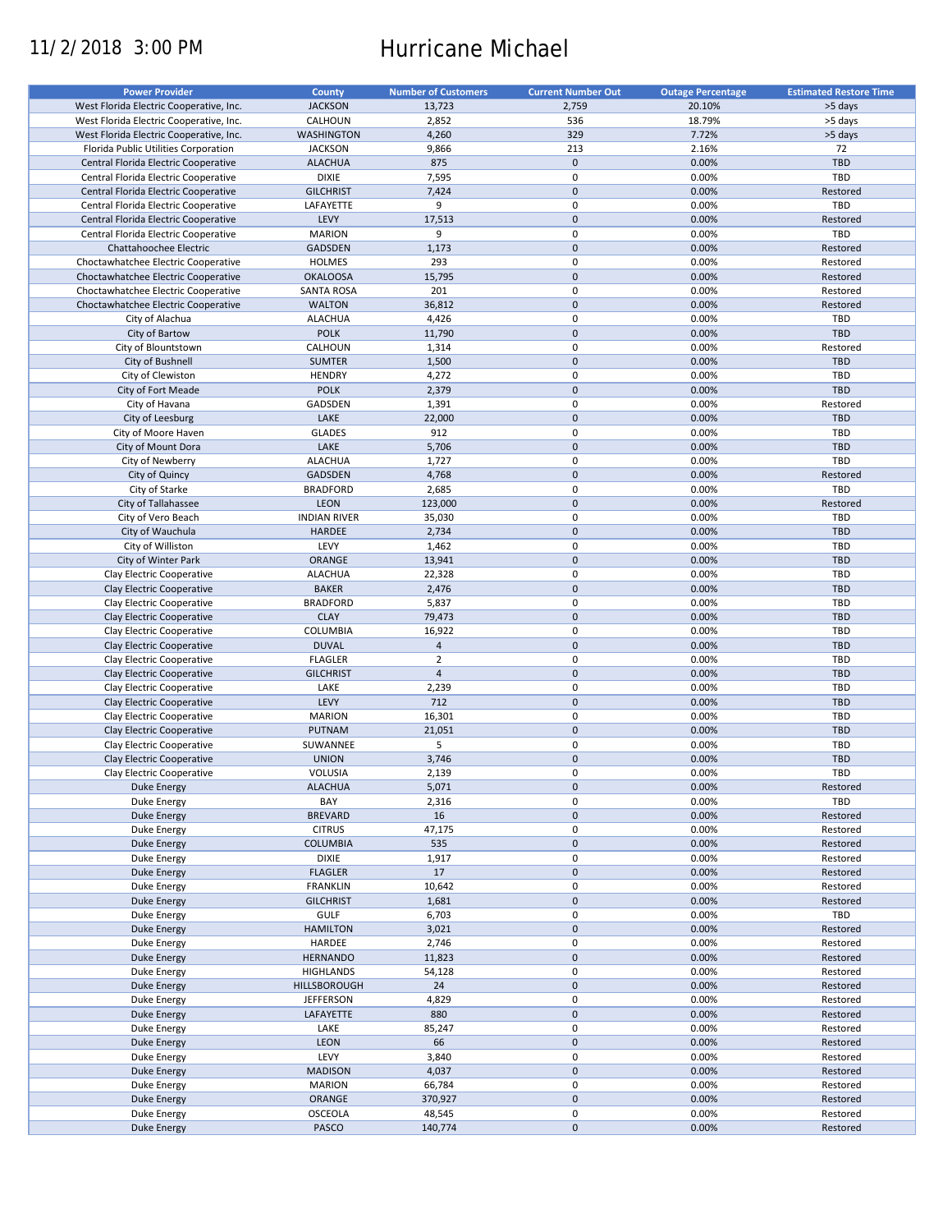# 11/2/2018 3:00 PM Hurricane Michael

| <b>Power Provider</b>                   | <b>County</b>       | <b>Number of Customers</b> | <b>Current Number Out</b> | <b>Outage Percentage</b> | <b>Estimated Restore Time</b> |
|-----------------------------------------|---------------------|----------------------------|---------------------------|--------------------------|-------------------------------|
| West Florida Electric Cooperative, Inc. |                     |                            |                           |                          |                               |
|                                         | <b>JACKSON</b>      | 13,723                     | 2,759                     | 20.10%                   | >5 days                       |
| West Florida Electric Cooperative, Inc. | CALHOUN             | 2,852                      | 536                       | 18.79%                   | >5 days                       |
| West Florida Electric Cooperative, Inc. | <b>WASHINGTON</b>   | 4,260                      | 329                       | 7.72%                    | >5 days                       |
| Florida Public Utilities Corporation    | <b>JACKSON</b>      | 9,866                      | 213                       | 2.16%                    | 72                            |
| Central Florida Electric Cooperative    | <b>ALACHUA</b>      | 875                        | $\mathbf 0$               | 0.00%                    | <b>TBD</b>                    |
| Central Florida Electric Cooperative    | <b>DIXIE</b>        | 7,595                      | 0                         | 0.00%                    | TBD                           |
| Central Florida Electric Cooperative    | <b>GILCHRIST</b>    | 7,424                      | $\mathbf 0$               | 0.00%                    | Restored                      |
| Central Florida Electric Cooperative    | LAFAYETTE           | 9                          | 0                         | 0.00%                    | TBD                           |
| Central Florida Electric Cooperative    | LEVY                | 17,513                     | $\mathbf 0$               | 0.00%                    | Restored                      |
| Central Florida Electric Cooperative    | <b>MARION</b>       | 9                          | 0                         | 0.00%                    | TBD                           |
| Chattahoochee Electric                  | <b>GADSDEN</b>      |                            | $\pmb{0}$                 |                          |                               |
|                                         |                     | 1,173                      |                           | 0.00%                    | Restored                      |
| Choctawhatchee Electric Cooperative     | <b>HOLMES</b>       | 293                        | 0                         | 0.00%                    | Restored                      |
| Choctawhatchee Electric Cooperative     | <b>OKALOOSA</b>     | 15,795                     | $\pmb{0}$                 | 0.00%                    | Restored                      |
| Choctawhatchee Electric Cooperative     | <b>SANTA ROSA</b>   | 201                        | $\mathbf 0$               | 0.00%                    | Restored                      |
| Choctawhatchee Electric Cooperative     | <b>WALTON</b>       | 36,812                     | $\pmb{0}$                 | 0.00%                    | Restored                      |
| City of Alachua                         | <b>ALACHUA</b>      | 4,426                      | $\mathbf 0$               | 0.00%                    | TBD                           |
| City of Bartow                          | <b>POLK</b>         | 11,790                     | $\pmb{0}$                 | 0.00%                    | <b>TBD</b>                    |
| City of Blountstown                     | CALHOUN             | 1,314                      | $\mathbf 0$               | 0.00%                    | Restored                      |
| City of Bushnell                        | <b>SUMTER</b>       | 1,500                      | $\pmb{0}$                 | 0.00%                    | <b>TBD</b>                    |
|                                         |                     |                            | $\mathbf 0$               |                          | <b>TBD</b>                    |
| City of Clewiston                       | <b>HENDRY</b>       | 4,272                      |                           | 0.00%                    |                               |
| City of Fort Meade                      | <b>POLK</b>         | 2,379                      | $\mathbf 0$               | 0.00%                    | <b>TBD</b>                    |
| City of Havana                          | GADSDEN             | 1,391                      | 0                         | 0.00%                    | Restored                      |
| City of Leesburg                        | LAKE                | 22,000                     | $\mathbf 0$               | 0.00%                    | <b>TBD</b>                    |
| City of Moore Haven                     | <b>GLADES</b>       | 912                        | $\mathbf 0$               | 0.00%                    | TBD                           |
| City of Mount Dora                      | LAKE                | 5,706                      | $\pmb{0}$                 | 0.00%                    | <b>TBD</b>                    |
| City of Newberry                        | <b>ALACHUA</b>      | 1,727                      | $\mathbf 0$               | 0.00%                    | TBD                           |
| City of Quincy                          | <b>GADSDEN</b>      | 4,768                      | $\mathbf 0$               | 0.00%                    | Restored                      |
|                                         | <b>BRADFORD</b>     |                            | $\mathbf 0$               | 0.00%                    | TBD                           |
| City of Starke                          |                     | 2,685                      |                           |                          |                               |
| City of Tallahassee                     | <b>LEON</b>         | 123,000                    | $\pmb{0}$                 | 0.00%                    | Restored                      |
| City of Vero Beach                      | <b>INDIAN RIVER</b> | 35,030                     | $\mathbf 0$               | 0.00%                    | <b>TBD</b>                    |
| City of Wauchula                        | <b>HARDEE</b>       | 2,734                      | $\pmb{0}$                 | 0.00%                    | <b>TBD</b>                    |
| City of Williston                       | LEVY                | 1,462                      | 0                         | 0.00%                    | TBD                           |
| City of Winter Park                     | ORANGE              | 13,941                     | $\mathbf 0$               | 0.00%                    | <b>TBD</b>                    |
| Clay Electric Cooperative               | <b>ALACHUA</b>      | 22,328                     | 0                         | 0.00%                    | TBD                           |
| Clay Electric Cooperative               | <b>BAKER</b>        | 2,476                      | $\pmb{0}$                 | 0.00%                    | <b>TBD</b>                    |
| Clay Electric Cooperative               | <b>BRADFORD</b>     | 5,837                      | 0                         | 0.00%                    | TBD                           |
|                                         |                     |                            | $\pmb{0}$                 |                          |                               |
| Clay Electric Cooperative               | <b>CLAY</b>         | 79,473                     |                           | 0.00%                    | <b>TBD</b>                    |
| Clay Electric Cooperative               | <b>COLUMBIA</b>     | 16,922                     | $\pmb{0}$                 | 0.00%                    | TBD                           |
| Clay Electric Cooperative               | <b>DUVAL</b>        | $\overline{4}$             | $\pmb{0}$                 | 0.00%                    | <b>TBD</b>                    |
| Clay Electric Cooperative               | <b>FLAGLER</b>      | $\overline{2}$             | $\pmb{0}$                 | 0.00%                    | TBD                           |
| Clay Electric Cooperative               | <b>GILCHRIST</b>    | $\overline{4}$             | $\mathbf 0$               | 0.00%                    | <b>TBD</b>                    |
| Clay Electric Cooperative               | LAKE                | 2,239                      | 0                         | 0.00%                    | TBD                           |
| Clay Electric Cooperative               | LEVY                | 712                        | $\pmb{0}$                 | 0.00%                    | <b>TBD</b>                    |
| Clay Electric Cooperative               | <b>MARION</b>       | 16,301                     | $\mathbf 0$               | 0.00%                    | TBD                           |
| Clay Electric Cooperative               | <b>PUTNAM</b>       | 21,051                     | $\pmb{0}$                 | 0.00%                    | <b>TBD</b>                    |
|                                         |                     |                            |                           |                          |                               |
| Clay Electric Cooperative               | SUWANNEE            | 5                          | 0                         | 0.00%                    | <b>TBD</b>                    |
| Clay Electric Cooperative               | <b>UNION</b>        | 3,746                      | $\mathbf 0$               | 0.00%                    | <b>TBD</b>                    |
| Clay Electric Cooperative               | VOLUSIA             | 2,139                      | $\mathbf 0$               | 0.00%                    | TBD                           |
| <b>Duke Energy</b>                      | <b>ALACHUA</b>      | 5,071                      | $\pmb{0}$                 | 0.00%                    | Restored                      |
| Duke Energy                             | BAY                 | 2,316                      | 0                         | 0.00%                    | TBD                           |
| <b>Duke Energy</b>                      | <b>BREVARD</b>      | 16                         | $\pmb{0}$                 | 0.00%                    | Restored                      |
| Duke Energy                             | <b>CITRUS</b>       | 47,175                     | 0                         | 0.00%                    | Restored                      |
| <b>Duke Energy</b>                      | <b>COLUMBIA</b>     | 535                        | $\pmb{0}$                 | 0.00%                    | Restored                      |
|                                         |                     |                            |                           |                          |                               |
| Duke Energy                             | <b>DIXIE</b>        | 1,917                      | 0                         | 0.00%                    | Restored                      |
| Duke Energy                             | <b>FLAGLER</b>      | 17                         | $\pmb{0}$                 | 0.00%                    | Restored                      |
| Duke Energy                             | <b>FRANKLIN</b>     | 10,642                     | 0                         | 0.00%                    | Restored                      |
| Duke Energy                             | <b>GILCHRIST</b>    | 1,681                      | $\pmb{0}$                 | 0.00%                    | Restored                      |
| Duke Energy                             | <b>GULF</b>         | 6,703                      | 0                         | 0.00%                    | TBD                           |
| <b>Duke Energy</b>                      | <b>HAMILTON</b>     | 3,021                      | $\pmb{0}$                 | 0.00%                    | Restored                      |
| Duke Energy                             | HARDEE              | 2,746                      | 0                         | 0.00%                    | Restored                      |
| <b>Duke Energy</b>                      | <b>HERNANDO</b>     | 11,823                     | $\pmb{0}$                 | 0.00%                    | Restored                      |
| Duke Energy                             | <b>HIGHLANDS</b>    | 54,128                     | $\pmb{0}$                 | 0.00%                    | Restored                      |
|                                         |                     |                            |                           |                          |                               |
| <b>Duke Energy</b>                      | <b>HILLSBOROUGH</b> | 24                         | $\pmb{0}$                 | 0.00%                    | Restored                      |
| Duke Energy                             | <b>JEFFERSON</b>    | 4,829                      | $\pmb{0}$                 | 0.00%                    | Restored                      |
| <b>Duke Energy</b>                      | LAFAYETTE           | 880                        | $\pmb{0}$                 | 0.00%                    | Restored                      |
| Duke Energy                             | LAKE                | 85,247                     | 0                         | 0.00%                    | Restored                      |
| <b>Duke Energy</b>                      | LEON                | 66                         | $\pmb{0}$                 | 0.00%                    | Restored                      |
| <b>Duke Energy</b>                      | LEVY                | 3,840                      | 0                         | 0.00%                    | Restored                      |
| <b>Duke Energy</b>                      | <b>MADISON</b>      | 4,037                      | $\pmb{0}$                 | 0.00%                    | Restored                      |
| Duke Energy                             | <b>MARION</b>       | 66,784                     | 0                         | 0.00%                    | Restored                      |
|                                         |                     |                            |                           |                          |                               |
| <b>Duke Energy</b>                      | ORANGE              | 370,927                    | $\pmb{0}$                 | 0.00%                    | Restored                      |
| Duke Energy                             | <b>OSCEOLA</b>      | 48,545                     | 0                         | 0.00%                    | Restored                      |
| <b>Duke Energy</b>                      | PASCO               | 140,774                    | $\pmb{0}$                 | 0.00%                    | Restored                      |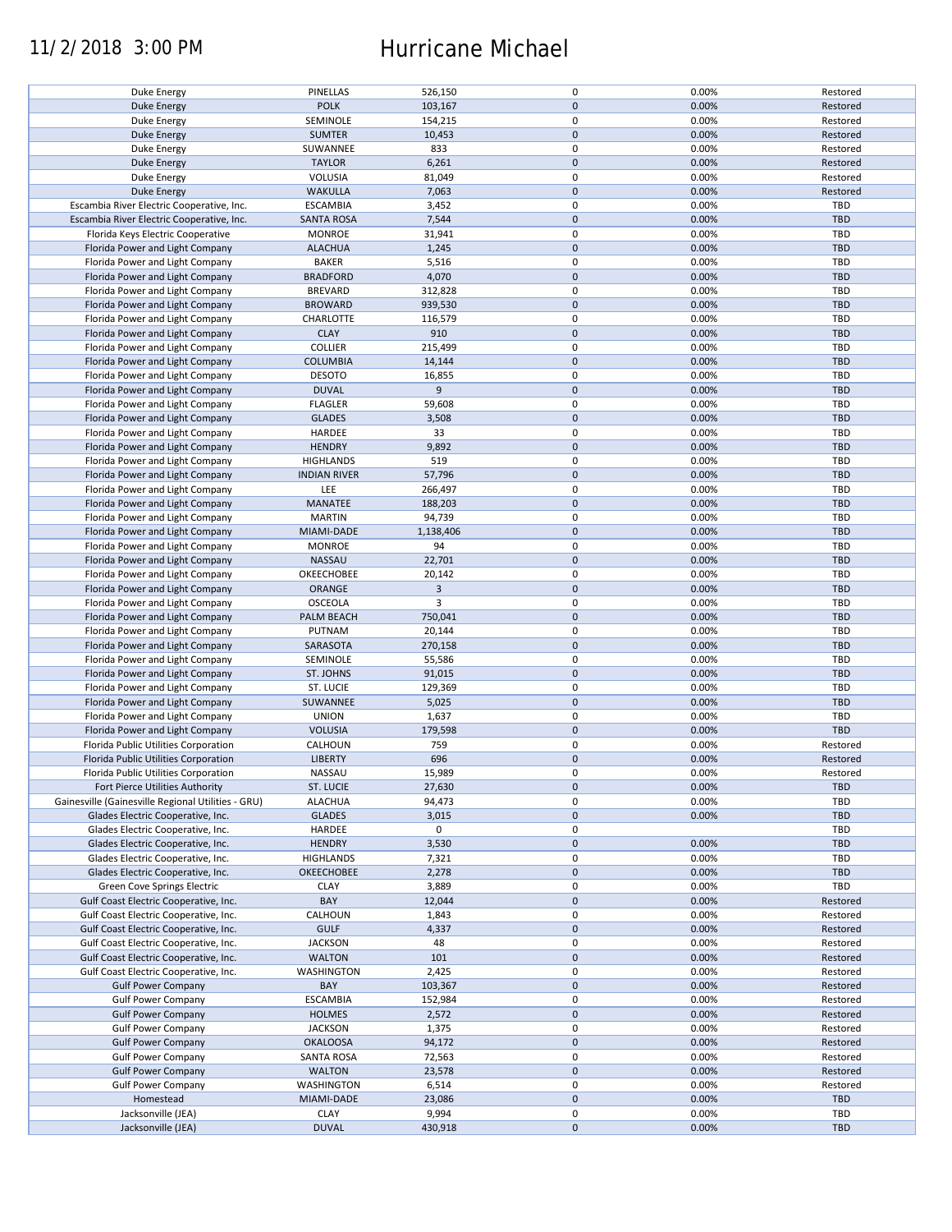## 11/2/2018 3:00 PM Hurricane Michael

| Duke Energy                                        | PINELLAS                    | 526,150        | $\mathbf 0$ | 0.00% | Restored   |
|----------------------------------------------------|-----------------------------|----------------|-------------|-------|------------|
| <b>Duke Energy</b>                                 | <b>POLK</b>                 | 103,167        | $\mathbf 0$ | 0.00% | Restored   |
| Duke Energy                                        | SEMINOLE                    | 154,215        | 0           | 0.00% | Restored   |
|                                                    | <b>SUMTER</b>               |                | $\mathbf 0$ | 0.00% |            |
| <b>Duke Energy</b>                                 |                             | 10,453         |             |       | Restored   |
| Duke Energy                                        | SUWANNEE                    | 833            | 0           | 0.00% | Restored   |
| <b>Duke Energy</b>                                 | <b>TAYLOR</b>               | 6,261          | $\mathbf 0$ | 0.00% | Restored   |
| Duke Energy                                        | VOLUSIA                     | 81,049         | 0           | 0.00% | Restored   |
| Duke Energy                                        | <b>WAKULLA</b>              | 7,063          | $\mathbf 0$ | 0.00% | Restored   |
|                                                    |                             |                |             |       |            |
| Escambia River Electric Cooperative, Inc.          | <b>ESCAMBIA</b>             | 3,452          | $\mathbf 0$ | 0.00% | TBD        |
| Escambia River Electric Cooperative, Inc.          | <b>SANTA ROSA</b>           | 7,544          | $\mathbf 0$ | 0.00% | <b>TBD</b> |
| Florida Keys Electric Cooperative                  | <b>MONROE</b>               | 31,941         | $\mathbf 0$ | 0.00% | TBD        |
| Florida Power and Light Company                    | <b>ALACHUA</b>              | 1,245          | $\pmb{0}$   | 0.00% | <b>TBD</b> |
|                                                    |                             |                |             |       |            |
| Florida Power and Light Company                    | <b>BAKER</b>                | 5,516          | $\mathbf 0$ | 0.00% | <b>TBD</b> |
| Florida Power and Light Company                    | <b>BRADFORD</b>             | 4,070          | $\mathbf 0$ | 0.00% | <b>TBD</b> |
| Florida Power and Light Company                    | <b>BREVARD</b>              | 312,828        | $\mathbf 0$ | 0.00% | <b>TBD</b> |
| Florida Power and Light Company                    | <b>BROWARD</b>              | 939,530        | $\mathbf 0$ | 0.00% | <b>TBD</b> |
|                                                    |                             |                |             |       |            |
| Florida Power and Light Company                    | CHARLOTTE                   | 116,579        | $\mathbf 0$ | 0.00% | <b>TBD</b> |
| Florida Power and Light Company                    | <b>CLAY</b>                 | 910            | $\mathbf 0$ | 0.00% | <b>TBD</b> |
| Florida Power and Light Company                    | <b>COLLIER</b>              | 215,499        | $\pmb{0}$   | 0.00% | <b>TBD</b> |
| Florida Power and Light Company                    | <b>COLUMBIA</b>             | 14,144         | $\mathbf 0$ | 0.00% | <b>TBD</b> |
|                                                    |                             |                |             |       |            |
| Florida Power and Light Company                    | <b>DESOTO</b>               | 16,855         | $\pmb{0}$   | 0.00% | <b>TBD</b> |
| Florida Power and Light Company                    | <b>DUVAL</b>                | 9              | $\pmb{0}$   | 0.00% | <b>TBD</b> |
| Florida Power and Light Company                    | <b>FLAGLER</b>              | 59,608         | 0           | 0.00% | TBD        |
| Florida Power and Light Company                    | <b>GLADES</b>               | 3,508          | $\mathbf 0$ | 0.00% | <b>TBD</b> |
| Florida Power and Light Company                    | HARDEE                      | 33             | 0           | 0.00% | TBD        |
|                                                    |                             |                |             |       |            |
| Florida Power and Light Company                    | <b>HENDRY</b>               | 9,892          | $\mathbf 0$ | 0.00% | <b>TBD</b> |
| Florida Power and Light Company                    | <b>HIGHLANDS</b>            | 519            | $\mathbf 0$ | 0.00% | <b>TBD</b> |
| Florida Power and Light Company                    | <b>INDIAN RIVER</b>         | 57,796         | $\mathbf 0$ | 0.00% | <b>TBD</b> |
| Florida Power and Light Company                    | LEE                         | 266,497        | $\mathbf 0$ | 0.00% | <b>TBD</b> |
|                                                    | MANATEE                     | 188,203        | $\mathbf 0$ | 0.00% | <b>TBD</b> |
| Florida Power and Light Company                    |                             |                |             |       |            |
| Florida Power and Light Company                    | <b>MARTIN</b>               | 94,739         | 0           | 0.00% | <b>TBD</b> |
| Florida Power and Light Company                    | MIAMI-DADE                  | 1,138,406      | $\mathbf 0$ | 0.00% | <b>TBD</b> |
| Florida Power and Light Company                    | <b>MONROE</b>               | 94             | $\pmb{0}$   | 0.00% | TBD        |
| Florida Power and Light Company                    | NASSAU                      | 22,701         | $\pmb{0}$   | 0.00% | <b>TBD</b> |
| Florida Power and Light Company                    | OKEECHOBEE                  | 20,142         | $\pmb{0}$   | 0.00% | TBD        |
|                                                    |                             |                |             |       |            |
| Florida Power and Light Company                    | ORANGE                      | $\overline{3}$ | $\pmb{0}$   | 0.00% | <b>TBD</b> |
| Florida Power and Light Company                    | <b>OSCEOLA</b>              | 3              | $\pmb{0}$   | 0.00% | TBD        |
| Florida Power and Light Company                    | PALM BEACH                  | 750,041        | $\mathbf 0$ | 0.00% | <b>TBD</b> |
| Florida Power and Light Company                    | PUTNAM                      | 20,144         | $\pmb{0}$   | 0.00% | TBD        |
| Florida Power and Light Company                    | SARASOTA                    | 270,158        | $\pmb{0}$   | 0.00% | <b>TBD</b> |
| Florida Power and Light Company                    | SEMINOLE                    |                | $\pmb{0}$   | 0.00% | TBD        |
|                                                    |                             | 55,586         |             |       |            |
| Florida Power and Light Company                    | ST. JOHNS                   | 91,015         | $\mathbf 0$ | 0.00% | <b>TBD</b> |
| Florida Power and Light Company                    | ST. LUCIE                   | 129,369        | 0           | 0.00% | <b>TBD</b> |
| Florida Power and Light Company                    | SUWANNEE                    | 5,025          | $\mathbf 0$ | 0.00% | <b>TBD</b> |
| Florida Power and Light Company                    | <b>UNION</b>                | 1,637          | $\mathbf 0$ | 0.00% | TBD        |
| Florida Power and Light Company                    | <b>VOLUSIA</b>              | 179,598        | $\mathbf 0$ | 0.00% | TBD        |
|                                                    |                             |                |             |       |            |
| Florida Public Utilities Corporation               | CALHOUN                     | 759            | 0           | 0.00% | Restored   |
| Florida Public Utilities Corporation               | <b>LIBERTY</b>              | 696            | $\mathbf 0$ | 0.00% | Restored   |
| Florida Public Utilities Corporation               | NASSAU                      | 15,989         | $\mathbf 0$ | 0.00% | Restored   |
| Fort Pierce Utilities Authority                    | ST. LUCIE                   | 27,630         | $\pmb{0}$   | 0.00% | <b>TBD</b> |
|                                                    |                             |                |             |       |            |
| Gainesville (Gainesville Regional Utilities - GRU) | <b>ALACHUA</b>              | 94,473         | 0           | 0.00% | TBD        |
| Glades Electric Cooperative, Inc.                  | <b>GLADES</b>               | 3,015          | 0           | 0.00% | <b>TBD</b> |
| Glades Electric Cooperative, Inc.                  | HARDEE                      | 0              | 0           |       | TBD        |
| Glades Electric Cooperative, Inc.                  | <b>HENDRY</b>               | 3,530          | $\mathbf 0$ | 0.00% | <b>TBD</b> |
| Glades Electric Cooperative, Inc.                  | <b>HIGHLANDS</b>            | 7,321          | 0           | 0.00% | TBD        |
| Glades Electric Cooperative, Inc.                  | <b>OKEECHOBEE</b>           |                | 0           | 0.00% | <b>TBD</b> |
|                                                    |                             | 2,278          |             |       |            |
| Green Cove Springs Electric                        | <b>CLAY</b>                 | 3,889          | 0           | 0.00% | TBD        |
| Gulf Coast Electric Cooperative, Inc.              | BAY                         | 12,044         | $\pmb{0}$   | 0.00% | Restored   |
| Gulf Coast Electric Cooperative, Inc.              | CALHOUN                     | 1,843          | 0           | 0.00% | Restored   |
| Gulf Coast Electric Cooperative, Inc.              | <b>GULF</b>                 | 4,337          | $\pmb{0}$   | 0.00% | Restored   |
|                                                    |                             |                | 0           |       | Restored   |
| Gulf Coast Electric Cooperative, Inc.              | <b>JACKSON</b>              | 48             |             | 0.00% |            |
| Gulf Coast Electric Cooperative, Inc.              | <b>WALTON</b>               | 101            | $\pmb{0}$   | 0.00% | Restored   |
| Gulf Coast Electric Cooperative, Inc.              | WASHINGTON                  | 2,425          | 0           | 0.00% | Restored   |
| <b>Gulf Power Company</b>                          | BAY                         | 103,367        | $\pmb{0}$   | 0.00% | Restored   |
| <b>Gulf Power Company</b>                          | <b>ESCAMBIA</b>             | 152,984        | 0           | 0.00% | Restored   |
| <b>Gulf Power Company</b>                          | <b>HOLMES</b>               | 2,572          | $\pmb{0}$   | 0.00% | Restored   |
|                                                    |                             |                |             |       |            |
| <b>Gulf Power Company</b>                          | <b>JACKSON</b>              | 1,375          | 0           | 0.00% | Restored   |
| <b>Gulf Power Company</b>                          | <b>OKALOOSA</b>             | 94,172         | $\pmb{0}$   | 0.00% | Restored   |
| <b>Gulf Power Company</b>                          | <b>SANTA ROSA</b>           | 72,563         | 0           | 0.00% | Restored   |
| <b>Gulf Power Company</b>                          | <b>WALTON</b>               | 23,578         | $\pmb{0}$   | 0.00% | Restored   |
| <b>Gulf Power Company</b>                          | <b>WASHINGTON</b>           | 6,514          | 0           | 0.00% | Restored   |
| Homestead                                          | MIAMI-DADE                  | 23,086         | $\pmb{0}$   | 0.00% | <b>TBD</b> |
|                                                    |                             |                |             |       |            |
| Jacksonville (JEA)                                 | <b>CLAY</b><br><b>DUVAL</b> | 9,994          | 0           | 0.00% | TBD        |
| Jacksonville (JEA)                                 |                             | 430,918        | 0           | 0.00% | <b>TBD</b> |